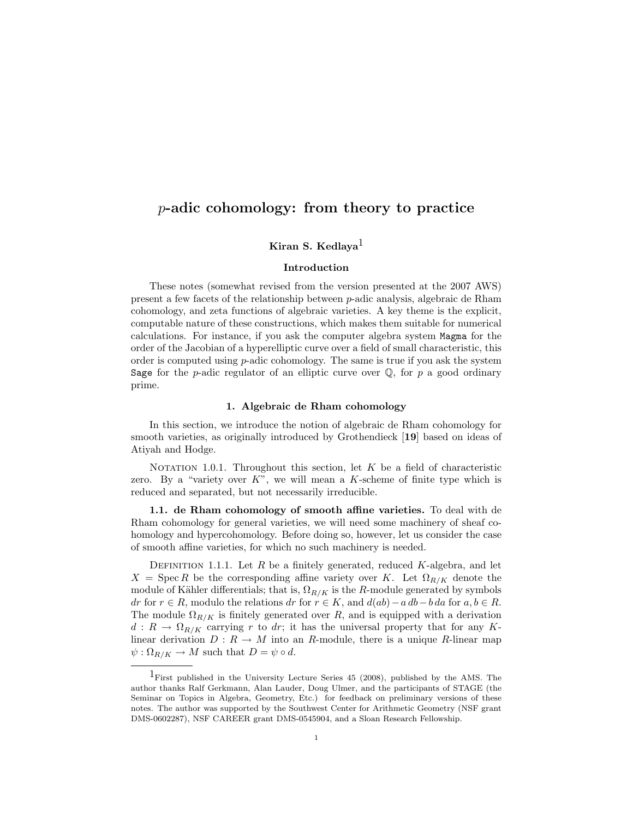# p-adic cohomology: from theory to practice

## Kiran S. Kedlaya<sup>1</sup>

## Introduction

These notes (somewhat revised from the version presented at the 2007 AWS) present a few facets of the relationship between p-adic analysis, algebraic de Rham cohomology, and zeta functions of algebraic varieties. A key theme is the explicit, computable nature of these constructions, which makes them suitable for numerical calculations. For instance, if you ask the computer algebra system Magma for the order of the Jacobian of a hyperelliptic curve over a field of small characteristic, this order is computed using  $p$ -adic cohomology. The same is true if you ask the system Sage for the p-adic regulator of an elliptic curve over  $\mathbb{Q}$ , for p a good ordinary prime.

#### 1. Algebraic de Rham cohomology

In this section, we introduce the notion of algebraic de Rham cohomology for smooth varieties, as originally introduced by Grothendieck [19] based on ideas of Atiyah and Hodge.

NOTATION 1.0.1. Throughout this section, let  $K$  be a field of characteristic zero. By a "variety over  $K$ ", we will mean a  $K$ -scheme of finite type which is reduced and separated, but not necessarily irreducible.

1.1. de Rham cohomology of smooth affine varieties. To deal with de Rham cohomology for general varieties, we will need some machinery of sheaf cohomology and hypercohomology. Before doing so, however, let us consider the case of smooth affine varieties, for which no such machinery is needed.

DEFINITION 1.1.1. Let  $R$  be a finitely generated, reduced  $K$ -algebra, and let  $X = \text{Spec } R$  be the corresponding affine variety over K. Let  $\Omega_{R/K}$  denote the module of Kähler differentials; that is,  $\Omega_{R/K}$  is the R-module generated by symbols dr for  $r \in R$ , modulo the relations dr for  $r \in K$ , and  $d(ab) - a db - b da$  for  $a, b \in R$ . The module  $\Omega_{R/K}$  is finitely generated over R, and is equipped with a derivation  $d: R \to \Omega_{R/K}$  carrying r to dr; it has the universal property that for any Klinear derivation  $D: R \to M$  into an R-module, there is a unique R-linear map  $\psi : \Omega_{R/K} \to M$  such that  $D = \psi \circ d$ .

<sup>1</sup>First published in the University Lecture Series 45 (2008), published by the AMS. The author thanks Ralf Gerkmann, Alan Lauder, Doug Ulmer, and the participants of STAGE (the Seminar on Topics in Algebra, Geometry, Etc.) for feedback on preliminary versions of these notes. The author was supported by the Southwest Center for Arithmetic Geometry (NSF grant DMS-0602287), NSF CAREER grant DMS-0545904, and a Sloan Research Fellowship.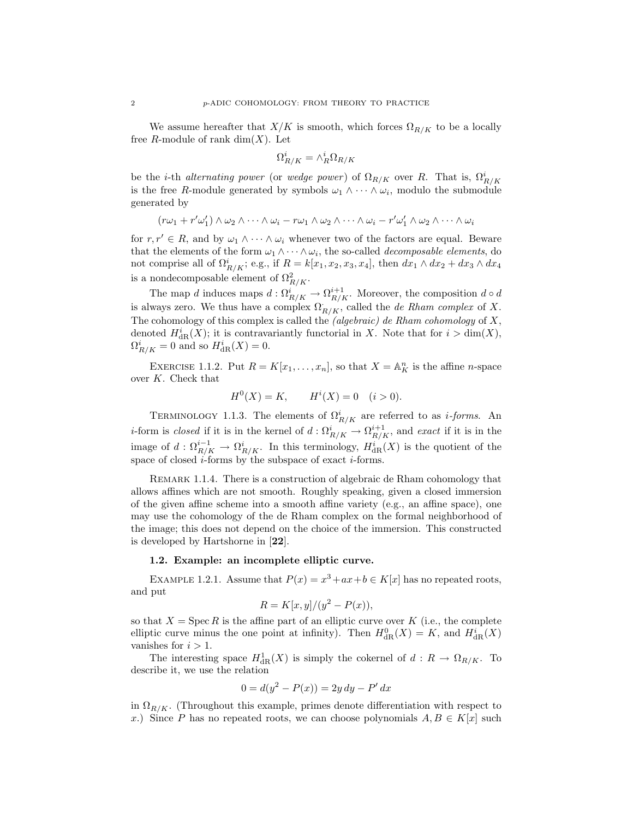We assume hereafter that  $X/K$  is smooth, which forces  $\Omega_{R/K}$  to be a locally free R-module of rank  $\dim(X)$ . Let

$$
\Omega^i_{R/K}=\wedge^i_R\Omega_{R/K}
$$

be the *i*-th *alternating power* (or *wedge power*) of  $\Omega_{R/K}$  over R. That is,  $\Omega_{R/K}^i$ is the free R-module generated by symbols  $\omega_1 \wedge \cdots \wedge \omega_i$ , modulo the submodule generated by

$$
(r\omega_1 + r'\omega_1') \wedge \omega_2 \wedge \cdots \wedge \omega_i - r\omega_1 \wedge \omega_2 \wedge \cdots \wedge \omega_i - r'\omega_1' \wedge \omega_2 \wedge \cdots \wedge \omega_i
$$

for  $r, r' \in R$ , and by  $\omega_1 \wedge \cdots \wedge \omega_i$  whenever two of the factors are equal. Beware that the elements of the form  $\omega_1 \wedge \cdots \wedge \omega_i$ , the so-called *decomposable elements*, do not comprise all of  $\Omega^i_{R/K}$ ; e.g., if  $R = k[x_1, x_2, x_3, x_4]$ , then  $dx_1 \wedge dx_2 + dx_3 \wedge dx_4$ is a nondecomposable element of  $\Omega^2_{R/K}$ .

The map d induces maps  $d: \Omega^i_{R/K} \to \Omega^{i+1}_{R/K}$ . Moreover, the composition  $d \circ d$ is always zero. We thus have a complex  $\Omega_{R/K}$ , called the *de Rham complex* of X. The cohomology of this complex is called the *(algebraic) de Rham cohomology* of  $X$ , denoted  $H^i_{\text{dR}}(X)$ ; it is contravariantly functorial in X. Note that for  $i > \dim(X)$ ,  $\Omega^i_{R/K} = 0$  and so  $H^i_{\text{dR}}(X) = 0$ .

EXERCISE 1.1.2. Put  $R = K[x_1, \ldots, x_n]$ , so that  $X = \mathbb{A}^n_K$  is the affine *n*-space over K. Check that

$$
H^{0}(X) = K, \qquad H^{i}(X) = 0 \quad (i > 0).
$$

TERMINOLOGY 1.1.3. The elements of  $\Omega^i_{R/K}$  are referred to as *i-forms*. An *i*-form is *closed* if it is in the kernel of  $d$  :  $\Omega^i_{R/K} \to \Omega^{i+1}_{R/K}$ , and *exact* if it is in the image of  $d: \Omega^{i-1}_{R/K} \to \Omega^i_{R/K}$ . In this terminology,  $H^i_{dR}(X)$  is the quotient of the space of closed  $i$ -forms by the subspace of exact  $i$ -forms.

REMARK 1.1.4. There is a construction of algebraic de Rham cohomology that allows affines which are not smooth. Roughly speaking, given a closed immersion of the given affine scheme into a smooth affine variety (e.g., an affine space), one may use the cohomology of the de Rham complex on the formal neighborhood of the image; this does not depend on the choice of the immersion. This constructed is developed by Hartshorne in [22].

#### 1.2. Example: an incomplete elliptic curve.

EXAMPLE 1.2.1. Assume that  $P(x) = x^3 + ax + b \in K[x]$  has no repeated roots, and put

$$
R = K[x, y]/(y^2 - P(x)),
$$

so that  $X = \text{Spec } R$  is the affine part of an elliptic curve over K (i.e., the complete elliptic curve minus the one point at infinity). Then  $H_{\text{dR}}^{0}(X) = K$ , and  $H_{\text{dR}}^{i}(X)$ vanishes for  $i > 1$ .

The interesting space  $H^1_{\text{dR}}(X)$  is simply the cokernel of  $d: R \to \Omega_{R/K}$ . To describe it, we use the relation

$$
0 = d(y^2 - P(x)) = 2y \, dy - P' \, dx
$$

in  $\Omega_{R/K}$ . (Throughout this example, primes denote differentiation with respect to x.) Since P has no repeated roots, we can choose polynomials  $A, B \in K[x]$  such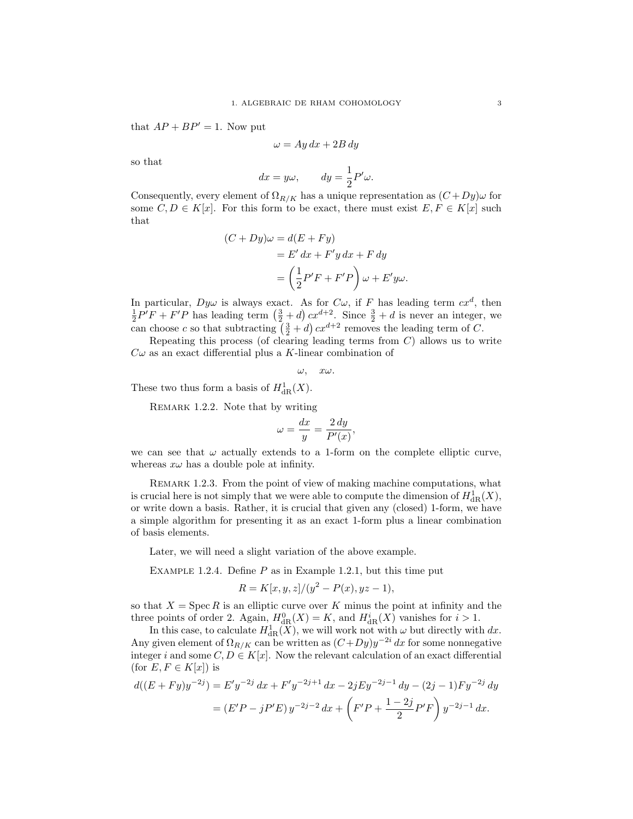that  $AP + BP' = 1$ . Now put

$$
\omega = Ay\,dx + 2B\,dy
$$

so that

$$
dx = y\omega,
$$
  $dy = \frac{1}{2}P'\omega.$ 

Consequently, every element of  $\Omega_{R/K}$  has a unique representation as  $(C+Dy)\omega$  for some  $C, D \in K[x]$ . For this form to be exact, there must exist  $E, F \in K[x]$  such that

$$
(C+Dy)\omega = d(E+Fy)
$$
  
= E' dx + F'y dx + F dy  
= 
$$
\left(\frac{1}{2}P'F + F'P\right)\omega + E'y\omega.
$$

In particular,  $Dy\omega$  is always exact. As for  $C\omega$ , if F has leading term  $cx^d$ , then  $\frac{1}{2}P'F + F'P$  has leading term  $(\frac{3}{2} + d) cx^{d+2}$ . Since  $\frac{3}{2} + d$  is never an integer, we can choose c so that subtracting  $(\frac{3}{2} + d) cx^{d+2}$  removes the leading term of C.

Repeating this process (of clearing leading terms from  $C$ ) allows us to write  $C\omega$  as an exact differential plus a K-linear combination of

$$
\omega, \quad x\omega.
$$

These two thus form a basis of  $H^1_{\text{dR}}(X)$ .

REMARK 1.2.2. Note that by writing

$$
\omega = \frac{dx}{y} = \frac{2\,dy}{P'(x)},
$$

we can see that  $\omega$  actually extends to a 1-form on the complete elliptic curve, whereas  $x\omega$  has a double pole at infinity.

REMARK 1.2.3. From the point of view of making machine computations, what is crucial here is not simply that we were able to compute the dimension of  $H^1_{\text{dR}}(X)$ , or write down a basis. Rather, it is crucial that given any (closed) 1-form, we have a simple algorithm for presenting it as an exact 1-form plus a linear combination of basis elements.

Later, we will need a slight variation of the above example.

EXAMPLE 1.2.4. Define  $P$  as in Example 1.2.1, but this time put

$$
R = K[x, y, z]/(y^2 - P(x), yz - 1),
$$

so that  $X = \operatorname{Spec} R$  is an elliptic curve over K minus the point at infinity and the three points of order 2. Again,  $H_{\text{dR}}^0(X) = K$ , and  $H_{\text{dR}}^i(X)$  vanishes for  $i > 1$ .

In this case, to calculate  $H^1_{\text{dR}}(\widetilde{X})$ , we will work not with  $\omega$  but directly with  $dx$ . Any given element of  $\Omega_{R/K}$  can be written as  $(C+Dy)y^{-2i} dx$  for some nonnegative integer i and some  $C, D \in K[x]$ . Now the relevant calculation of an exact differential (for  $E, F \in K[x]$ ) is

$$
d((E + Fy)y^{-2j}) = E'y^{-2j} dx + F'y^{-2j+1} dx - 2jEy^{-2j-1} dy - (2j - 1)Fy^{-2j} dy
$$
  
=  $(E'P - jP'E)y^{-2j-2} dx + \left(F'P + \frac{1-2j}{2}P'F\right)y^{-2j-1} dx.$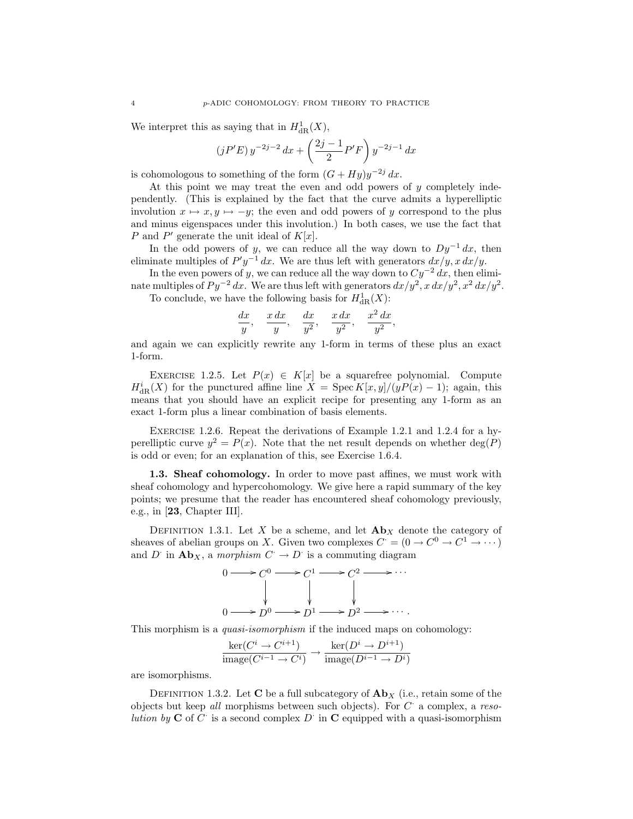We interpret this as saying that in  $H^1_{\text{dR}}(X)$ ,

$$
(jP'E) y^{-2j-2} dx + \left(\frac{2j-1}{2}P'F\right) y^{-2j-1} dx
$$

is cohomologous to something of the form  $(G + Hy)y^{-2j} dx$ .

At this point we may treat the even and odd powers of  $y$  completely independently. (This is explained by the fact that the curve admits a hyperelliptic involution  $x \mapsto x, y \mapsto -y$ ; the even and odd powers of y correspond to the plus and minus eigenspaces under this involution.) In both cases, we use the fact that P and P' generate the unit ideal of  $K[x]$ .

In the odd powers of y, we can reduce all the way down to  $Dy^{-1} dx$ , then eliminate multiples of  $P'y^{-1} dx$ . We are thus left with generators  $dx/y$ ,  $xdx/y$ .

In the even powers of y, we can reduce all the way down to  $Cy^{-2} dx$ , then eliminate multiples of  $Py^{-2} dx$ . We are thus left with generators  $dx/y^2$ ,  $x dx/y^2$ ,  $x^2 dx/y^2$ . To conclude, we have the following basis for  $H^1_{dR}(X)$ :

$$
\frac{dx}{y}, \quad \frac{x\,dx}{y}, \quad \frac{dx}{y^2}, \quad \frac{x\,dx}{y^2}, \quad \frac{x^2\,dx}{y^2},
$$

and again we can explicitly rewrite any 1-form in terms of these plus an exact 1-form.

EXERCISE 1.2.5. Let  $P(x) \in K[x]$  be a squarefree polynomial. Compute  $H_{\text{dR}}^{i}(X)$  for the punctured affine line  $X = \text{Spec } K[x, y]/(yP(x) - 1)$ ; again, this means that you should have an explicit recipe for presenting any 1-form as an exact 1-form plus a linear combination of basis elements.

Exercise 1.2.6. Repeat the derivations of Example 1.2.1 and 1.2.4 for a hyperelliptic curve  $y^2 = P(x)$ . Note that the net result depends on whether deg(P) is odd or even; for an explanation of this, see Exercise 1.6.4.

1.3. Sheaf cohomology. In order to move past affines, we must work with sheaf cohomology and hypercohomology. We give here a rapid summary of the key points; we presume that the reader has encountered sheaf cohomology previously, e.g., in [23, Chapter III].

DEFINITION 1.3.1. Let X be a scheme, and let  $\mathbf{Ab}_X$  denote the category of sheaves of abelian groups on X. Given two complexes  $C = (0 \to C^0 \to C^1 \to \cdots)$ and D<sup>·</sup> in  $\mathbf{Ab}_X$ , a morphism  $C \to D$ <sup>·</sup> is a commuting diagram



This morphism is a *quasi-isomorphism* if the induced maps on cohomology:

$$
\frac{\ker(C^i \to C^{i+1})}{\text{image}(C^{i-1} \to C^i)} \to \frac{\ker(D^i \to D^{i+1})}{\text{image}(D^{i-1} \to D^i)}
$$

are isomorphisms.

DEFINITION 1.3.2. Let C be a full subcategory of  $\mathbf{Ab}_X$  (i.e., retain some of the objects but keep all morphisms between such objects). For  $C^{\cdot}$  a complex, a resolution by  $C$  of  $C$  is a second complex  $D$  in  $C$  equipped with a quasi-isomorphism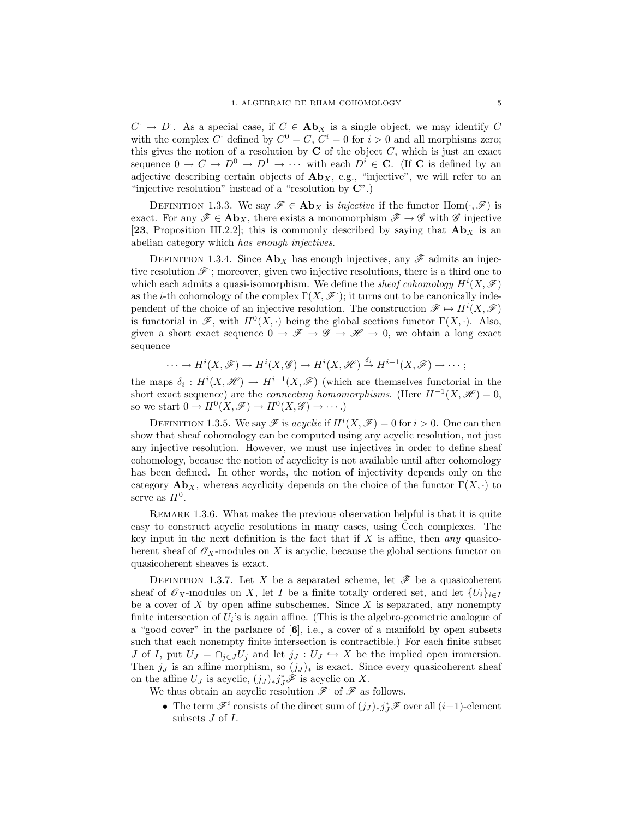$C \rightarrow D$ . As a special case, if  $C \in \mathbf{Ab}_X$  is a single object, we may identify C with the complex C defined by  $C^0 = C, C^i = 0$  for  $i > 0$  and all morphisms zero; this gives the notion of a resolution by  $C$  of the object  $C$ , which is just an exact sequence  $0 \to C \to D^0 \to D^1 \to \cdots$  with each  $D^i \in \mathbb{C}$ . (If **C** is defined by an adjective describing certain objects of  $\mathbf{Ab}_X$ , e.g., "injective", we will refer to an "injective resolution" instead of a "resolution by  $\mathbb{C}^n$ .)

DEFINITION 1.3.3. We say  $\mathscr{F} \in \mathbf{Ab}_X$  is *injective* if the functor Hom $(\cdot, \mathscr{F})$  is exact. For any  $\mathscr{F} \in \mathbf{Ab}_X$ , there exists a monomorphism  $\mathscr{F} \to \mathscr{G}$  with  $\mathscr{G}$  injective [23, Proposition III.2.2]; this is commonly described by saying that  $\mathbf{Ab}_{X}$  is an abelian category which has enough injectives.

DEFINITION 1.3.4. Since  $\mathbf{Ab}_X$  has enough injectives, any  $\mathscr F$  admits an injective resolution  $\mathscr{F}$ ; moreover, given two injective resolutions, there is a third one to which each admits a quasi-isomorphism. We define the *sheaf cohomology*  $H^{i}(X, \mathcal{F})$ as the *i*-th cohomology of the complex  $\Gamma(X, \mathscr{F})$ ; it turns out to be canonically independent of the choice of an injective resolution. The construction  $\mathscr{F} \mapsto H^{i}(X,\mathscr{F})$ is functorial in  $\mathscr{F}$ , with  $H^0(X, \cdot)$  being the global sections functor  $\Gamma(X, \cdot)$ . Also, given a short exact sequence  $0 \to \mathscr{F} \to \mathscr{G} \to \mathscr{H} \to 0$ , we obtain a long exact sequence

$$
\cdots \to H^{i}(X,\mathscr{F}) \to H^{i}(X,\mathscr{G}) \to H^{i}(X,\mathscr{H}) \stackrel{\delta_{i}}{\to} H^{i+1}(X,\mathscr{F}) \to \cdots;
$$

the maps  $\delta_i: H^i(X, \mathcal{H}) \to H^{i+1}(X, \mathcal{F})$  (which are themselves functorial in the short exact sequence) are the *connecting homomorphisms*. (Here  $H^{-1}(X, \mathcal{H}) = 0$ , so we start  $0 \to H^0(X, \mathscr{F}) \to H^0(X, \mathscr{G}) \to \cdots$ .)

DEFINITION 1.3.5. We say  $\mathscr F$  is acyclic if  $H^i(X,\mathscr F)=0$  for  $i>0$ . One can then show that sheaf cohomology can be computed using any acyclic resolution, not just any injective resolution. However, we must use injectives in order to define sheaf cohomology, because the notion of acyclicity is not available until after cohomology has been defined. In other words, the notion of injectivity depends only on the category  $\mathbf{Ab}_X$ , whereas acyclicity depends on the choice of the functor  $\Gamma(X, \cdot)$  to serve as  $H^0$ .

Remark 1.3.6. What makes the previous observation helpful is that it is quite easy to construct acyclic resolutions in many cases, using Cech complexes. The key input in the next definition is the fact that if  $X$  is affine, then any quasicoherent sheaf of  $\mathscr{O}_X$ -modules on X is acyclic, because the global sections functor on quasicoherent sheaves is exact.

DEFINITION 1.3.7. Let X be a separated scheme, let  $\mathscr F$  be a quasicoherent sheaf of  $\mathscr{O}_X$ -modules on X, let I be a finite totally ordered set, and let  $\{U_i\}_{i\in I}$ be a cover of  $X$  by open affine subschemes. Since  $X$  is separated, any nonempty finite intersection of  $U_i$ 's is again affine. (This is the algebro-geometric analogue of a "good cover" in the parlance of  $[6]$ , i.e., a cover of a manifold by open subsets such that each nonempty finite intersection is contractible.) For each finite subset J of I, put  $U_J = \bigcap_{j \in J} U_j$  and let  $j_J : U_J \hookrightarrow X$  be the implied open immersion. Then  $j_j$  is an affine morphism, so  $(j_j)_*$  is exact. Since every quasicoherent sheaf on the affine  $U_J$  is acyclic,  $(j_J)_* j_J^* \mathscr{F}$  is acyclic on X.

We thus obtain an acyclic resolution  $\mathscr{F}$  of  $\mathscr{F}$  as follows.

• The term  $\mathscr{F}^i$  consists of the direct sum of  $(j_J)_*j_J^*\mathscr{F}$  over all  $(i+1)$ -element subsets J of I.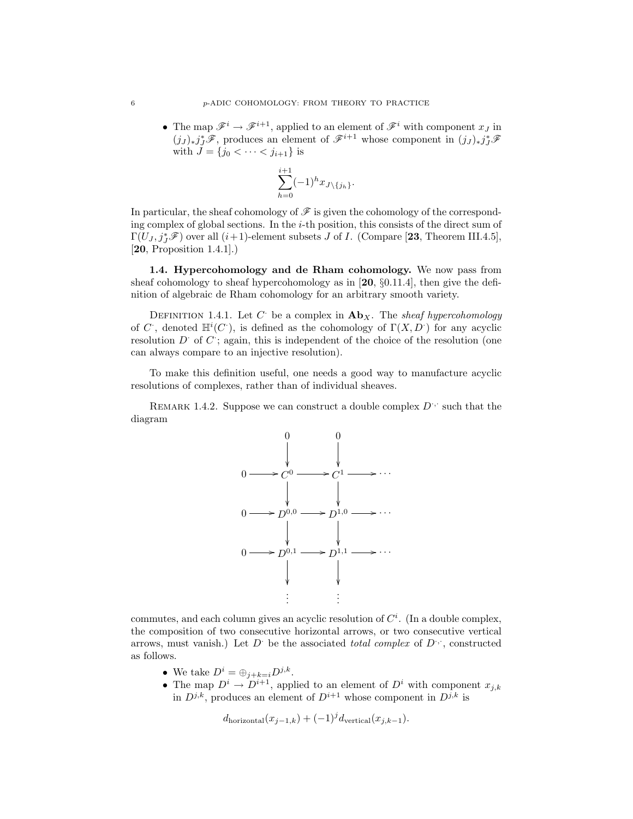• The map  $\mathscr{F}^i \to \mathscr{F}^{i+1}$ , applied to an element of  $\mathscr{F}^i$  with component  $x_J$  in  $(j_J)_* j_J^*$ <sup> $\mathscr{F}$ </sup>, produces an element of  $\mathscr{F}^{i+1}$  whose component in  $(j_J)_* j_J^*$  $\mathscr{F}$ with  $J = \{j_0 < \cdots < j_{i+1}\}$  is

$$
\sum_{h=0}^{i+1}(-1)^{h}x_{J\setminus\{j_h\}}.
$$

In particular, the sheaf cohomology of  $\mathscr F$  is given the cohomology of the corresponding complex of global sections. In the i-th position, this consists of the direct sum of  $\Gamma(U_J,j_J^*\mathscr{F})$  over all  $(i+1)$ -element subsets J of I. (Compare [23, Theorem III.4.5], [20, Proposition 1.4.1].)

1.4. Hypercohomology and de Rham cohomology. We now pass from sheaf cohomology to sheaf hypercohomology as in  $[20, §0.11.4]$ , then give the definition of algebraic de Rham cohomology for an arbitrary smooth variety.

DEFINITION 1.4.1. Let C be a complex in  $\mathbf{Ab}_X$ . The sheaf hypercohomology of C, denoted  $\mathbb{H}^i(C)$ , is defined as the cohomology of  $\Gamma(X, D)$  for any acyclic resolution  $D^{\cdot}$  of  $C$ ; again, this is independent of the choice of the resolution (one can always compare to an injective resolution).

To make this definition useful, one needs a good way to manufacture acyclic resolutions of complexes, rather than of individual sheaves.

REMARK 1.4.2. Suppose we can construct a double complex  $D^{\cdot,\cdot}$  such that the diagram



commutes, and each column gives an acyclic resolution of  $C^i$ . (In a double complex, the composition of two consecutive horizontal arrows, or two consecutive vertical arrows, must vanish.) Let  $D^{\cdot}$  be the associated total complex of  $D^{\cdot}$ , constructed as follows.

- We take  $D^i = \bigoplus_{j+k=i} D^{j,k}$ .
- The map  $D^i \to D^{i+1}$ , applied to an element of  $D^i$  with component  $x_{j,k}$ in  $D^{j,k}$ , produces an element of  $D^{i+1}$  whose component in  $D^{j,k}$  is

 $d_{\text{horizontal}}(x_{j-1,k}) + (-1)^j d_{\text{vertical}}(x_{j,k-1}).$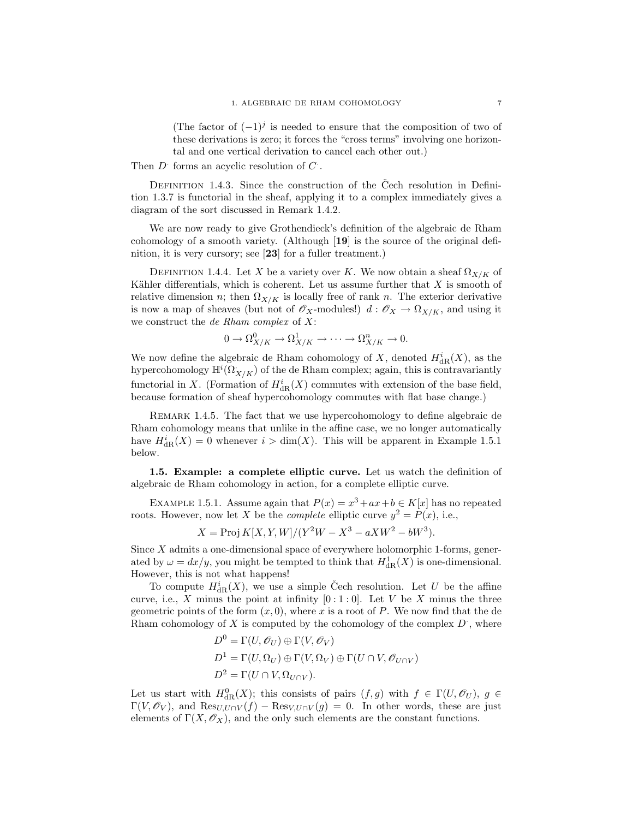(The factor of  $(-1)^j$  is needed to ensure that the composition of two of these derivations is zero; it forces the "cross terms" involving one horizontal and one vertical derivation to cancel each other out.)

Then  $D^{\cdot}$  forms an acyclic resolution of  $C^{\cdot}$ .

DEFINITION 1.4.3. Since the construction of the Čech resolution in Definition 1.3.7 is functorial in the sheaf, applying it to a complex immediately gives a diagram of the sort discussed in Remark 1.4.2.

We are now ready to give Grothendieck's definition of the algebraic de Rham cohomology of a smooth variety. (Although [19] is the source of the original definition, it is very cursory; see [23] for a fuller treatment.)

DEFINITION 1.4.4. Let X be a variety over K. We now obtain a sheaf  $\Omega_{X/K}$  of Kähler differentials, which is coherent. Let us assume further that  $X$  is smooth of relative dimension n; then  $\Omega_{X/K}$  is locally free of rank n. The exterior derivative is now a map of sheaves (but not of  $\mathscr{O}_X$ -modules!)  $d : \mathscr{O}_X \to \Omega_{X/K}$ , and using it we construct the *de Rham complex* of  $X$ :

$$
0 \to \Omega_{X/K}^0 \to \Omega_{X/K}^1 \to \cdots \to \Omega_{X/K}^n \to 0.
$$

We now define the algebraic de Rham cohomology of X, denoted  $H^i_{\text{dR}}(X)$ , as the hypercohomology  $\mathbb{H}^i(\Omega^*_{X/K})$  of the de Rham complex; again, this is contravariantly functorial in X. (Formation of  $H^i_{\text{dR}}(X)$  commutes with extension of the base field, because formation of sheaf hypercohomology commutes with flat base change.)

Remark 1.4.5. The fact that we use hypercohomology to define algebraic de Rham cohomology means that unlike in the affine case, we no longer automatically have  $H^i_{\text{dR}}(X) = 0$  whenever  $i > \dim(X)$ . This will be apparent in Example 1.5.1 below.

1.5. Example: a complete elliptic curve. Let us watch the definition of algebraic de Rham cohomology in action, for a complete elliptic curve.

EXAMPLE 1.5.1. Assume again that  $P(x) = x^3 + ax + b \in K[x]$  has no repeated roots. However, now let X be the *complete* elliptic curve  $y^2 = P(x)$ , i.e.,

$$
X = \text{Proj } K[X, Y, W]/(Y^2W - X^3 - aXW^2 - bW^3).
$$

Since X admits a one-dimensional space of everywhere holomorphic 1-forms, generated by  $\omega = dx/y$ , you might be tempted to think that  $H^1_{\text{dR}}(X)$  is one-dimensional. However, this is not what happens!

To compute  $H^i_{\text{dR}}(X)$ , we use a simple Čech resolution. Let U be the affine curve, i.e., X minus the point at infinity  $[0:1:0]$ . Let V be X minus the three geometric points of the form  $(x, 0)$ , where x is a root of P. We now find that the de Rham cohomology of  $X$  is computed by the cohomology of the complex  $D^*$ , where

$$
D^{0} = \Gamma(U, \mathcal{O}_{U}) \oplus \Gamma(V, \mathcal{O}_{V})
$$
  
\n
$$
D^{1} = \Gamma(U, \Omega_{U}) \oplus \Gamma(V, \Omega_{V}) \oplus \Gamma(U \cap V, \mathcal{O}_{U \cap V})
$$
  
\n
$$
D^{2} = \Gamma(U \cap V, \Omega_{U \cap V}).
$$

Let us start with  $H^0_{\text{dR}}(X)$ ; this consists of pairs  $(f, g)$  with  $f \in \Gamma(U, \mathcal{O}_U)$ ,  $g \in$  $\Gamma(V,\mathscr{O}_V)$ , and  $\text{Res}_{U,U\cap V}(f) - \text{Res}_{V,U\cap V}(g) = 0$ . In other words, these are just elements of  $\Gamma(X, \mathcal{O}_X)$ , and the only such elements are the constant functions.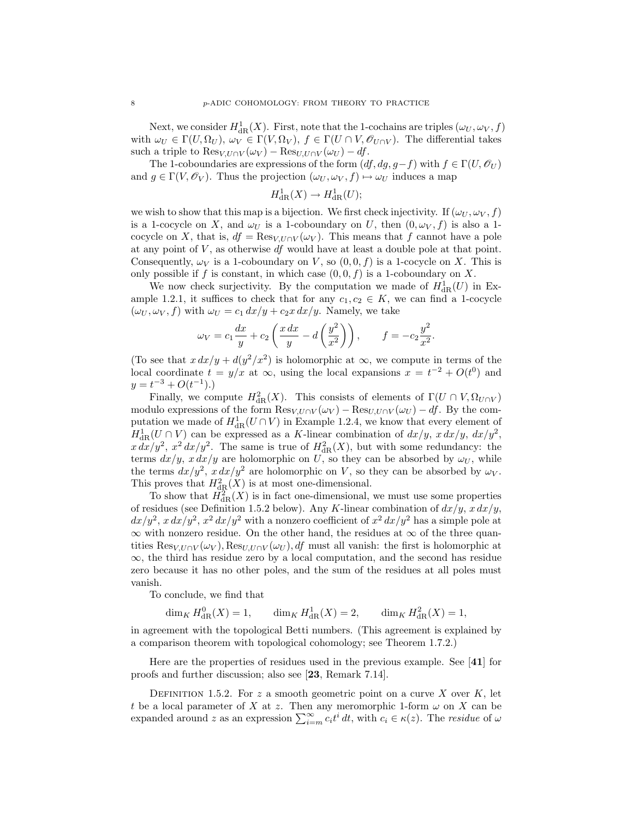Next, we consider  $H^1_{\mathrm{dR}}(X)$ . First, note that the 1-cochains are triples  $(\omega_U, \omega_V, f)$ with  $\omega_U \in \Gamma(U, \Omega_U)$ ,  $\omega_V \in \Gamma(V, \Omega_V)$ ,  $f \in \Gamma(U \cap V, \mathcal{O}_{U \cap V})$ . The differential takes such a triple to  $\text{Res}_{V, U \cap V}(\omega_V) - \text{Res}_{U, U \cap V}(\omega_U) - df$ .

The 1-coboundaries are expressions of the form  $(df, dg, g-f)$  with  $f \in \Gamma(U, \mathcal{O}_U)$ and  $g \in \Gamma(V, \mathscr{O}_V)$ . Thus the projection  $(\omega_U, \omega_V, f) \mapsto \omega_U$  induces a map

$$
H^1_{\rm dR}(X)\to H^1_{\rm dR}(U);
$$

we wish to show that this map is a bijection. We first check injectivity. If  $(\omega_U, \omega_V, f)$ is a 1-cocycle on X, and  $\omega_U$  is a 1-coboundary on U, then  $(0, \omega_V, f)$  is also a 1cocycle on X, that is,  $df = \text{Res}_{V,U\cap V}(\omega_V)$ . This means that f cannot have a pole at any point of  $V$ , as otherwise  $df$  would have at least a double pole at that point. Consequently,  $\omega_V$  is a 1-coboundary on V, so  $(0,0,f)$  is a 1-cocycle on X. This is only possible if f is constant, in which case  $(0, 0, f)$  is a 1-coboundary on X.

We now check surjectivity. By the computation we made of  $H_{\text{dR}}^1(U)$  in Example 1.2.1, it suffices to check that for any  $c_1, c_2 \in K$ , we can find a 1-cocycle  $(\omega_U, \omega_V, f)$  with  $\omega_U = c_1 dx/y + c_2x dx/y$ . Namely, we take

$$
\omega_V = c_1 \frac{dx}{y} + c_2 \left( \frac{x \, dx}{y} - d \left( \frac{y^2}{x^2} \right) \right), \qquad f = -c_2 \frac{y^2}{x^2}.
$$

(To see that  $x dx/y + d(y^2/x^2)$  is holomorphic at  $\infty$ , we compute in terms of the local coordinate  $t = y/x$  at  $\infty$ , using the local expansions  $x = t^{-2} + O(t^0)$  and  $y = t^{-3} + O(t^{-1}).$ 

Finally, we compute  $H^2_{\text{dR}}(X)$ . This consists of elements of  $\Gamma(U \cap V, \Omega_{U \cap V})$ modulo expressions of the form  $\text{Res}_{V,U\cap V}(\omega_V) - \text{Res}_{U,U\cap V}(\omega_U) - df$ . By the computation we made of  $H^1_{\text{dR}}(U \cap V)$  in Example 1.2.4, we know that every element of  $H_{\text{dR}}^1(U \cap V)$  can be expressed as a K-linear combination of  $dx/y$ ,  $x dx/y$ ,  $dx/y^2$ ,  $x dx/y^2$ ,  $x^2 dx/y^2$ . The same is true of  $H^2_{dR}(X)$ , but with some redundancy: the terms  $dx/y$ ,  $x dx/y$  are holomorphic on U, so they can be absorbed by  $\omega_U$ , while the terms  $dx/y^2$ ,  $x dx/y^2$  are holomorphic on V, so they can be absorbed by  $\omega_V$ . This proves that  $H^2_{dR}(X)$  is at most one-dimensional.

To show that  $H^2_{\text{dR}}(X)$  is in fact one-dimensional, we must use some properties of residues (see Definition 1.5.2 below). Any K-linear combination of  $dx/y$ ,  $x dx/y$ ,  $dx/y^2$ ,  $x dx/y^2$ ,  $x^2 dx/y^2$  with a nonzero coefficient of  $x^2 dx/y^2$  has a simple pole at  $\infty$  with nonzero residue. On the other hand, the residues at  $\infty$  of the three quantities  $\text{Res}_{V,U\cap V}(\omega_V)$ ,  $\text{Res}_{U,U\cap V}(\omega_U)$ , df must all vanish: the first is holomorphic at ∞, the third has residue zero by a local computation, and the second has residue zero because it has no other poles, and the sum of the residues at all poles must vanish.

To conclude, we find that

$$
\dim_K H^0_{\text{dR}}(X) = 1, \qquad \dim_K H^1_{\text{dR}}(X) = 2, \qquad \dim_K H^2_{\text{dR}}(X) = 1
$$

in agreement with the topological Betti numbers. (This agreement is explained by a comparison theorem with topological cohomology; see Theorem 1.7.2.)

Here are the properties of residues used in the previous example. See [41] for proofs and further discussion; also see [23, Remark 7.14].

DEFINITION 1.5.2. For z a smooth geometric point on a curve  $X$  over  $K$ , let t be a local parameter of X at z. Then any meromorphic 1-form  $\omega$  on X can be expanded around z as an expression  $\sum_{i=m}^{\infty} c_i t^i dt$ , with  $c_i \in \kappa(z)$ . The *residue* of  $\omega$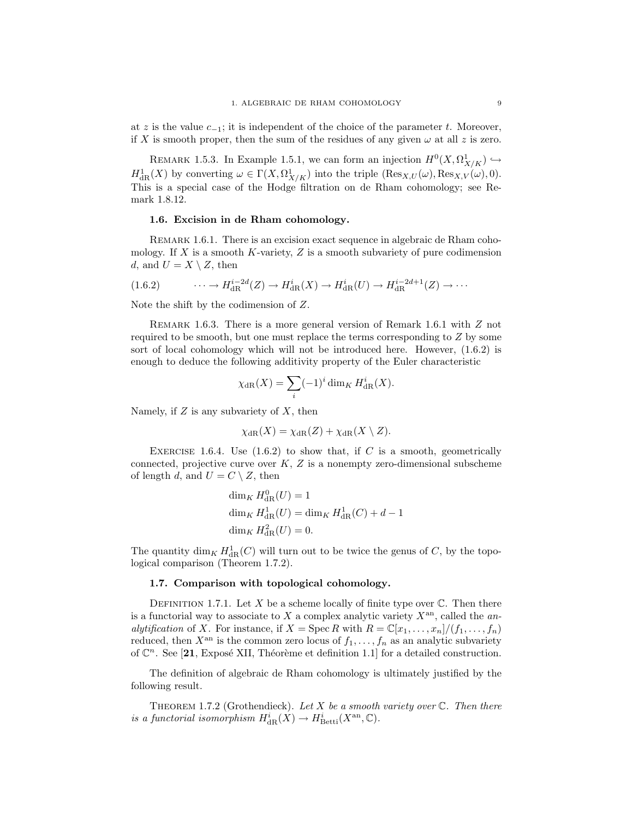at z is the value  $c_{-1}$ ; it is independent of the choice of the parameter t. Moreover, if X is smooth proper, then the sum of the residues of any given  $\omega$  at all z is zero.

REMARK 1.5.3. In Example 1.5.1, we can form an injection  $H^0(X, \Omega^1_{X/K}) \hookrightarrow$  $H^1_{\text{dR}}(X)$  by converting  $\omega \in \Gamma(X, \Omega^1_{X/K})$  into the triple  $(\text{Res}_{X,U}(\omega), \text{Res}_{X,V}(\omega), 0)$ . This is a special case of the Hodge filtration on de Rham cohomology; see Remark 1.8.12.

## 1.6. Excision in de Rham cohomology.

REMARK 1.6.1. There is an excision exact sequence in algebraic de Rham cohomology. If X is a smooth K-variety, Z is a smooth subvariety of pure codimension d, and  $U = X \setminus Z$ , then

$$
(1.6.2) \qquad \cdots \to H_{\text{dR}}^{i-2d}(Z) \to H_{\text{dR}}^{i}(X) \to H_{\text{dR}}^{i}(U) \to H_{\text{dR}}^{i-2d+1}(Z) \to \cdots
$$

Note the shift by the codimension of Z.

Remark 1.6.3. There is a more general version of Remark 1.6.1 with Z not required to be smooth, but one must replace the terms corresponding to Z by some sort of local cohomology which will not be introduced here. However, (1.6.2) is enough to deduce the following additivity property of the Euler characteristic

$$
\chi_{\text{dR}}(X) = \sum_{i} (-1)^i \dim_K H_{\text{dR}}^i(X).
$$

Namely, if  $Z$  is any subvariety of  $X$ , then

$$
\chi_{\rm dR}(X) = \chi_{\rm dR}(Z) + \chi_{\rm dR}(X \setminus Z).
$$

EXERCISE 1.6.4. Use  $(1.6.2)$  to show that, if C is a smooth, geometrically connected, projective curve over  $K, Z$  is a nonempty zero-dimensional subscheme of length d, and  $U = C \setminus Z$ , then

$$
\dim_K H_{\text{dR}}^0(U) = 1
$$
  

$$
\dim_K H_{\text{dR}}^1(U) = \dim_K H_{\text{dR}}^1(C) + d - 1
$$
  

$$
\dim_K H_{\text{dR}}^2(U) = 0.
$$

The quantity  $\dim_K H^1_{\mathrm{dR}}(C)$  will turn out to be twice the genus of C, by the topological comparison (Theorem 1.7.2).

#### 1.7. Comparison with topological cohomology.

DEFINITION 1.7.1. Let X be a scheme locally of finite type over  $\mathbb C$ . Then there is a functorial way to associate to X a complex analytic variety  $X^{\text{an}}$ , called the analytification of X. For instance, if  $X = \text{Spec } R$  with  $R = \mathbb{C}[x_1, \ldots, x_n]/(f_1, \ldots, f_n)$ reduced, then  $X^{\text{an}}$  is the common zero locus of  $f_1, \ldots, f_n$  as an analytic subvariety of  $\mathbb{C}^n$ . See [21, Exposé XII, Théorème et definition 1.1] for a detailed construction.

The definition of algebraic de Rham cohomology is ultimately justified by the following result.

THEOREM 1.7.2 (Grothendieck). Let X be a smooth variety over  $\mathbb C$ . Then there is a functorial isomorphism  $H^i_{\text{dR}}(X) \to H^i_{\text{Betti}}(X^{\text{an}}, \mathbb{C}).$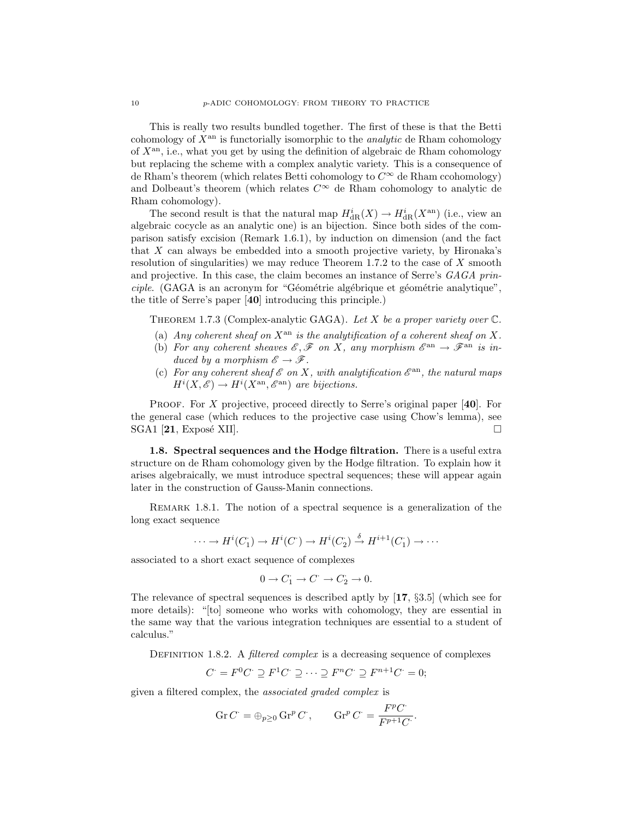This is really two results bundled together. The first of these is that the Betti cohomology of  $X^{\text{an}}$  is functorially isomorphic to the *analytic* de Rham cohomology of  $X<sup>an</sup>$ , i.e., what you get by using the definition of algebraic de Rham cohomology but replacing the scheme with a complex analytic variety. This is a consequence of de Rham's theorem (which relates Betti cohomology to  $C^{\infty}$  de Rham ccohomology) and Dolbeaut's theorem (which relates  $C^{\infty}$  de Rham cohomology to analytic de Rham cohomology).

The second result is that the natural map  $H_{\text{dR}}^{i}(X) \to H_{\text{dR}}^{i}(X^{\text{an}})$  (i.e., view an algebraic cocycle as an analytic one) is an bijection. Since both sides of the comparison satisfy excision (Remark 1.6.1), by induction on dimension (and the fact that X can always be embedded into a smooth projective variety, by Hironaka's resolution of singularities) we may reduce Theorem 1.7.2 to the case of X smooth and projective. In this case, the claim becomes an instance of Serre's GAGA prin $ciple.$  (GAGA is an acronym for "Géométrie algébrique et géométrie analytique", the title of Serre's paper [40] introducing this principle.)

THEOREM 1.7.3 (Complex-analytic GAGA). Let X be a proper variety over  $\mathbb{C}$ .

- (a) Any coherent sheaf on  $X^{\text{an}}$  is the analytification of a coherent sheaf on X.
- (b) For any coherent sheaves  $\mathscr{E}, \mathscr{F}$  on X, any morphism  $\mathscr{E}^{\text{an}} \to \mathscr{F}^{\text{an}}$  is induced by a morphism  $\mathscr{E} \to \mathscr{F}$ .
- (c) For any coherent sheaf  $\mathscr E$  on X, with analytification  $\mathscr E^{\rm an}$ , the natural maps  $H^i(X, \mathscr{E}) \to H^i(X^{\text{an}}, \mathscr{E}^{\text{an}})$  are bijections.

**PROOF.** For X projective, proceed directly to Serre's original paper  $[40]$ . For the general case (which reduces to the projective case using Chow's lemma), see  $SGA1$  [21, Exposé XII].

1.8. Spectral sequences and the Hodge filtration. There is a useful extra structure on de Rham cohomology given by the Hodge filtration. To explain how it arises algebraically, we must introduce spectral sequences; these will appear again later in the construction of Gauss-Manin connections.

REMARK 1.8.1. The notion of a spectral sequence is a generalization of the long exact sequence

$$
\cdots \to H^i(C_1) \to H^i(C^{\cdot}) \to H^i(C_2^{\cdot}) \stackrel{\delta}{\to} H^{i+1}(C_1^{\cdot}) \to \cdots
$$

associated to a short exact sequence of complexes

$$
0 \to C_1 \to C^{\cdot} \to C_2 \to 0.
$$

The relevance of spectral sequences is described aptly by [17, §3.5] (which see for more details): "[to] someone who works with cohomology, they are essential in the same way that the various integration techniques are essential to a student of calculus."

DEFINITION 1.8.2. A *filtered complex* is a decreasing sequence of complexes

$$
C' = F^0 C \supseteq F^1 C \supseteq \cdots \supseteq F^n C \supseteq F^{n+1} C = 0;
$$

given a filtered complex, the associated graded complex is

$$
\operatorname{Gr} C^{\cdot} = \oplus_{p \geq 0} \operatorname{Gr}^p C^{\cdot}, \qquad \operatorname{Gr}^p C^{\cdot} = \frac{F^p C^{\cdot}}{F^{p+1} C^{\cdot}}.
$$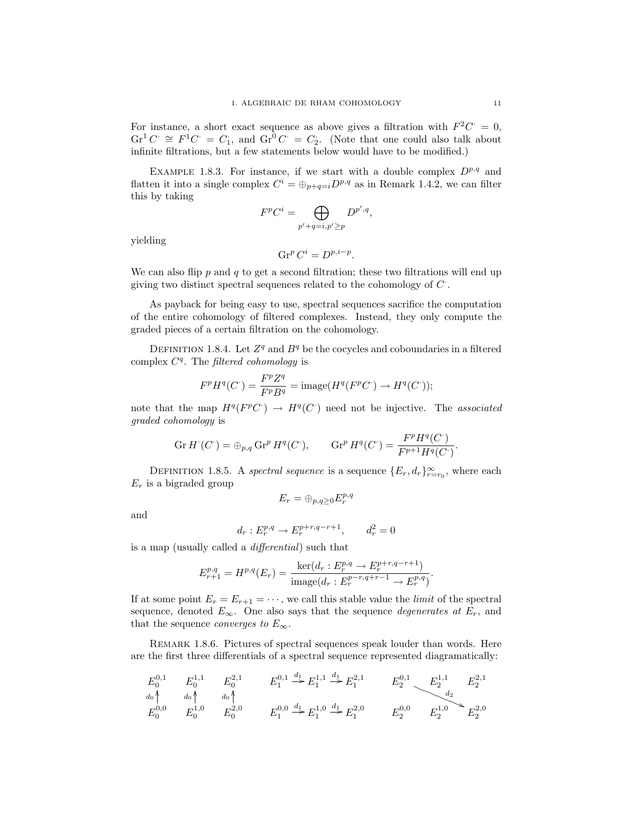For instance, a short exact sequence as above gives a filtration with  $F^2C = 0$ ,  $\mathrm{Gr}^1 C \cong F^1 C = C_1$ , and  $\mathrm{Gr}^0 C = C_2$ . (Note that one could also talk about infinite filtrations, but a few statements below would have to be modified.)

EXAMPLE 1.8.3. For instance, if we start with a double complex  $D^{p,q}$  and flatten it into a single complex  $C^i = \bigoplus_{p+q=i} D^{p,q}$  as in Remark 1.4.2, we can filter this by taking

$$
F^p C^i = \bigoplus_{p'+q=i, p'\geq p} D^{p',q},
$$

yielding

$$
\operatorname{Gr}^p C^i = D^{p,i-p}.
$$

We can also flip  $p$  and  $q$  to get a second filtration; these two filtrations will end up giving two distinct spectral sequences related to the cohomology of  $C$ .

As payback for being easy to use, spectral sequences sacrifice the computation of the entire cohomology of filtered complexes. Instead, they only compute the graded pieces of a certain filtration on the cohomology.

DEFINITION 1.8.4. Let  $Z^q$  and  $B^q$  be the cocycles and coboundaries in a filtered complex  $C<sup>q</sup>$ . The filtered cohomology is

$$
F^p H^q(C^{\cdot}) = \frac{F^p Z^q}{F^p B^q} = \text{image}(H^q(F^p C^{\cdot}) \to H^q(C^{\cdot}));
$$

note that the map  $H^q(F^pC^{\cdot}) \to H^q(C^{\cdot})$  need not be injective. The associated graded cohomology is

$$
\operatorname{Gr} H^{\cdot}(C^{\cdot}) = \oplus_{p,q} \operatorname{Gr}^p H^q(C^{\cdot}), \qquad \operatorname{Gr}^p H^q(C^{\cdot}) = \frac{F^p H^q(C^{\cdot})}{F^{p+1} H^q(C^{\cdot})}.
$$

DEFINITION 1.8.5. A spectral sequence is a sequence  $\{E_r, d_r\}_{r=r_0}^{\infty}$ , where each  $E_r$  is a bigraded group

$$
E_r = \oplus_{p,q \geq 0} E_r^{p,q}
$$

and

$$
d_r:E_r^{p,q}\to E_r^{p+r,q-r+1},\qquad d_r^2=0
$$

is a map (usually called a differential) such that

$$
E_{r+1}^{p,q} = H^{p,q}(E_r) = \frac{\ker(d_r : E_r^{p,q} \to E_r^{p+r,q-r+1})}{\text{image}(d_r : E_r^{p-r,q+r-1} \to E_r^{p,q})}.
$$

If at some point  $E_r = E_{r+1} = \cdots$ , we call this stable value the *limit* of the spectral sequence, denoted  $E_{\infty}$ . One also says that the sequence *degenerates at*  $E_r$ , and that the sequence *converges to*  $E_{\infty}$ .

Remark 1.8.6. Pictures of spectral sequences speak louder than words. Here are the first three differentials of a spectral sequence represented diagramatically:

$$
E_0^{0,1} \t E_0^{1,1} \t E_0^{2,1} \t E_1^{0,1} \xrightarrow{d_0 \uparrow} E_1^{0,1} \xrightarrow{d_1} E_1^{1,1} \xrightarrow{d_1} E_1^{2,1} \t E_2^{0,1} \t E_2^{1,1} \t E_2^{2,1}
$$
  
\n
$$
E_0^{0,0} \t E_0^{1,0} \t E_0^{2,0} \t E_1^{0,0} \xrightarrow{d_1} E_1^{1,0} \xrightarrow{d_1} E_1^{2,0} \t E_2^{0,0} \t E_2^{1,0} \t E_2^{2,0}
$$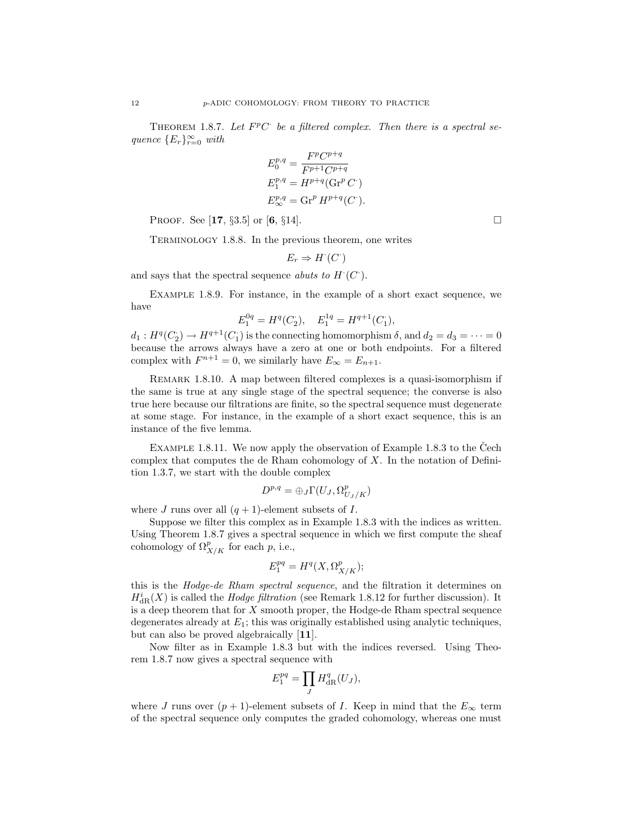THEOREM 1.8.7. Let  $F^pC$  be a filtered complex. Then there is a spectral sequence  ${E_r}_{r=0}^{\infty}$  with

$$
E_0^{p,q} = \frac{F^p C^{p+q}}{F^{p+1} C^{p+q}}
$$
  
\n
$$
E_1^{p,q} = H^{p+q} (\text{Gr}^p C^{\cdot})
$$
  
\n
$$
E_{\infty}^{p,q} = \text{Gr}^p H^{p+q} (C^{\cdot}).
$$

**PROOF.** See [17, §3.5] or [6, §14].

Terminology 1.8.8. In the previous theorem, one writes

$$
E_r \Rightarrow H^{\cdot}(C^{\cdot})
$$

and says that the spectral sequence *abuts to H* $(C)$ .

Example 1.8.9. For instance, in the example of a short exact sequence, we have

$$
E_1^{0q}=H^q(C_2),\quad E_1^{1q}=H^{q+1}(C_1),
$$

 $d_1: H^q(C_2) \to H^{q+1}(C_1)$  is the connecting homomorphism  $\delta$ , and  $d_2 = d_3 = \cdots = 0$ because the arrows always have a zero at one or both endpoints. For a filtered complex with  $F^{n+1} = 0$ , we similarly have  $E_{\infty} = E_{n+1}$ .

Remark 1.8.10. A map between filtered complexes is a quasi-isomorphism if the same is true at any single stage of the spectral sequence; the converse is also true here because our filtrations are finite, so the spectral sequence must degenerate at some stage. For instance, in the example of a short exact sequence, this is an instance of the five lemma.

EXAMPLE 1.8.11. We now apply the observation of Example 1.8.3 to the Čech complex that computes the de Rham cohomology of  $X$ . In the notation of Definition 1.3.7, we start with the double complex

$$
D^{p,q} = \bigoplus_J \Gamma(U_J, \Omega^p_{U_J/K})
$$

where J runs over all  $(q + 1)$ -element subsets of I.

Suppose we filter this complex as in Example 1.8.3 with the indices as written. Using Theorem 1.8.7 gives a spectral sequence in which we first compute the sheaf cohomology of  $\Omega_{X/K}^p$  for each p, i.e.,

$$
E_1^{pq} = H^q(X, \Omega^p_{X/K});
$$

this is the Hodge-de Rham spectral sequence, and the filtration it determines on  $H^i_{\text{dR}}(X)$  is called the *Hodge filtration* (see Remark 1.8.12 for further discussion). It is a deep theorem that for X smooth proper, the Hodge-de Rham spectral sequence degenerates already at  $E_1$ ; this was originally established using analytic techniques, but can also be proved algebraically [11].

Now filter as in Example 1.8.3 but with the indices reversed. Using Theorem 1.8.7 now gives a spectral sequence with

$$
E_1^{pq} = \prod_J H_{\text{dR}}^q(U_J),
$$

where J runs over  $(p+1)$ -element subsets of I. Keep in mind that the  $E_{\infty}$  term of the spectral sequence only computes the graded cohomology, whereas one must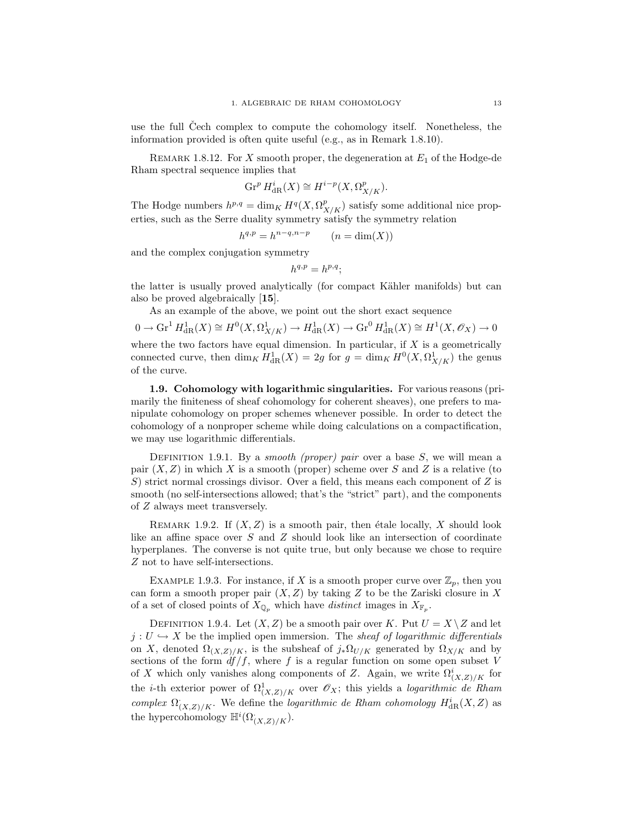use the full Cech complex to compute the cohomology itself. Nonetheless, the information provided is often quite useful (e.g., as in Remark 1.8.10).

REMARK 1.8.12. For X smooth proper, the degeneration at  $E_1$  of the Hodge-de Rham spectral sequence implies that

$$
\operatorname{Gr}^p H^i_{\mathrm{dR}}(X) \cong H^{i-p}(X, \Omega^p_{X/K}).
$$

The Hodge numbers  $h^{p,q} = \dim_K H^q(X, \Omega^p_{X/K})$  satisfy some additional nice properties, such as the Serre duality symmetry satisfy the symmetry relation

$$
h^{q,p} = h^{n-q,n-p} \qquad (n = \dim(X))
$$

and the complex conjugation symmetry

$$
h^{q,p} = h^{p,q};
$$

the latter is usually proved analytically (for compact Kähler manifolds) but can also be proved algebraically [15].

As an example of the above, we point out the short exact sequence

 $0 \to \operatorname{Gr}^1 H^1_{\mathrm{dR}}(X) \cong H^0(X, \Omega^1_{X/K}) \to H^1_{\mathrm{dR}}(X) \to \operatorname{Gr}^0 H^1_{\mathrm{dR}}(X) \cong H^1(X, \mathscr{O}_X) \to 0$ where the two factors have equal dimension. In particular, if  $X$  is a geometrically connected curve, then  $\dim_K H^1_{\text{dR}}(X) = 2g$  for  $g = \dim_K H^0(X, \Omega^1_{X/K})$  the genus of the curve.

1.9. Cohomology with logarithmic singularities. For various reasons (primarily the finiteness of sheaf cohomology for coherent sheaves), one prefers to manipulate cohomology on proper schemes whenever possible. In order to detect the cohomology of a nonproper scheme while doing calculations on a compactification, we may use logarithmic differentials.

DEFINITION 1.9.1. By a smooth (proper) pair over a base  $S$ , we will mean a pair  $(X, Z)$  in which X is a smooth (proper) scheme over S and Z is a relative (to S) strict normal crossings divisor. Over a field, this means each component of  $Z$  is smooth (no self-intersections allowed; that's the "strict" part), and the components of Z always meet transversely.

REMARK 1.9.2. If  $(X, Z)$  is a smooth pair, then étale locally, X should look like an affine space over S and Z should look like an intersection of coordinate hyperplanes. The converse is not quite true, but only because we chose to require Z not to have self-intersections.

EXAMPLE 1.9.3. For instance, if X is a smooth proper curve over  $\mathbb{Z}_p$ , then you can form a smooth proper pair  $(X, Z)$  by taking Z to be the Zariski closure in X of a set of closed points of  $X_{\mathbb{Q}_p}$  which have distinct images in  $X_{\mathbb{F}_p}$ .

DEFINITION 1.9.4. Let  $(X, Z)$  be a smooth pair over K. Put  $U = X \setminus Z$  and let  $j: U \hookrightarrow X$  be the implied open immersion. The sheaf of logarithmic differentials on X, denoted  $\Omega_{(X,Z)/K}$ , is the subsheaf of  $j_*\Omega_{U/K}$  generated by  $\Omega_{X/K}$  and by sections of the form  $df/f$ , where f is a regular function on some open subset V of X which only vanishes along components of Z. Again, we write  $\Omega^i_{(X,Z)/K}$  for the *i*-th exterior power of  $\Omega^1_{(X,Z)/K}$  over  $\mathscr{O}_X$ ; this yields a *logarithmic de Rham* complex  $\Omega^{\cdot}_{(X,Z)/K}$ . We define the logarithmic de Rham cohomology  $H^i_{dR}(X,Z)$  as the hypercohomology  $\mathbb{H}^i(\Omega^{\cdot}_{(X,Z)/K}).$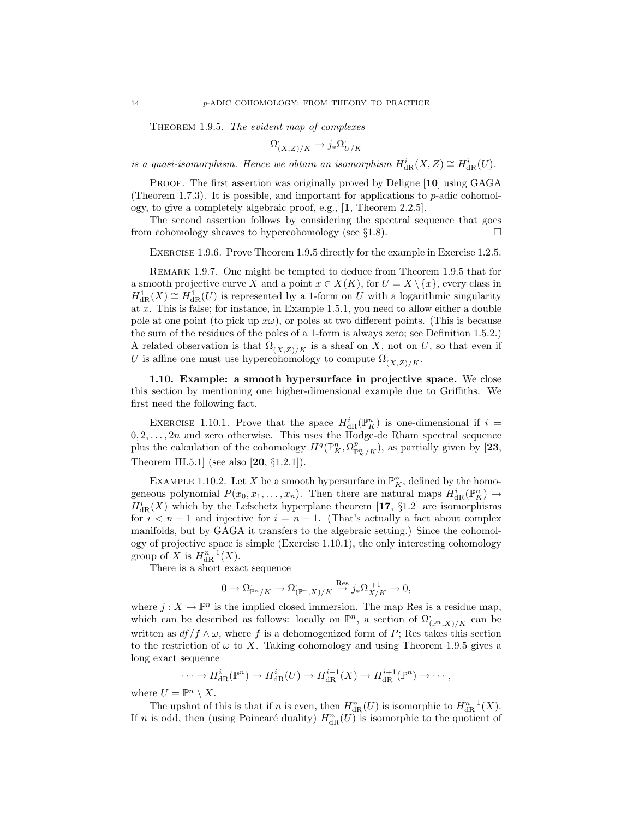THEOREM 1.9.5. The evident map of complexes

$$
\Omega^{\cdot}_{(X,Z)/K} \to j_* \Omega^{\cdot}_{U/K}
$$

is a quasi-isomorphism. Hence we obtain an isomorphism  $H^i_{\text{dR}}(X,Z) \cong H^i_{\text{dR}}(U)$ .

PROOF. The first assertion was originally proved by Deligne [10] using GAGA (Theorem 1.7.3). It is possible, and important for applications to  $p$ -adic cohomology, to give a completely algebraic proof, e.g., [1, Theorem 2.2.5].

The second assertion follows by considering the spectral sequence that goes from cohomology sheaves to hypercohomology (see §1.8).  $\Box$ 

Exercise 1.9.6. Prove Theorem 1.9.5 directly for the example in Exercise 1.2.5.

Remark 1.9.7. One might be tempted to deduce from Theorem 1.9.5 that for a smooth projective curve X and a point  $x \in X(K)$ , for  $U = X \setminus \{x\}$ , every class in  $H^1_{\text{dR}}(X) \cong H^1_{\text{dR}}(U)$  is represented by a 1-form on U with a logarithmic singularity at  $x$ . This is false; for instance, in Example 1.5.1, you need to allow either a double pole at one point (to pick up  $x\omega$ ), or poles at two different points. (This is because the sum of the residues of the poles of a 1-form is always zero; see Definition 1.5.2.) A related observation is that  $\Omega^{\cdot}_{(X,Z)/K}$  is a sheaf on X, not on U, so that even if U is affine one must use hypercohomology to compute  $\Omega_{(X,Z)/K}$ .

1.10. Example: a smooth hypersurface in projective space. We close this section by mentioning one higher-dimensional example due to Griffiths. We first need the following fact.

EXERCISE 1.10.1. Prove that the space  $H_{\text{dR}}^i(\mathbb{P}_K^n)$  is one-dimensional if  $i =$  $0, 2, \ldots, 2n$  and zero otherwise. This uses the Hodge-de Rham spectral sequence plus the calculation of the cohomology  $H^q(\mathbb{P}^n_K, \Omega^p_{\mathbb{P}^n_K/K})$ , as partially given by [23, Theorem III.5.1] (see also [20, §1.2.1]).

EXAMPLE 1.10.2. Let X be a smooth hypersurface in  $\mathbb{P}^n$ , defined by the homogeneous polynomial  $P(x_0, x_1, \ldots, x_n)$ . Then there are natural maps  $H_{\text{dR}}^i(\mathbb{P}_K^n) \to$  $H_{\text{dR}}^{i}(X)$  which by the Lefschetz hyperplane theorem [17, §1.2] are isomorphisms for  $i < n-1$  and injective for  $i = n-1$ . (That's actually a fact about complex manifolds, but by GAGA it transfers to the algebraic setting.) Since the cohomology of projective space is simple (Exercise 1.10.1), the only interesting cohomology group of X is  $H^{n-1}_{\text{dR}}(X)$ .

There is a short exact sequence

$$
0 \to \Omega_{\mathbb{P}^n/K} \to \Omega_{(\mathbb{P}^n, X)/K} \overset{\text{Res}}{\to} j_*\Omega_{X/K}^{+1} \to 0,
$$

where  $j: X \to \mathbb{P}^n$  is the implied closed immersion. The map Res is a residue map, which can be described as follows: locally on  $\mathbb{P}^n$ , a section of  $\Omega_{(\mathbb{P}^n, X)/K}$  can be written as  $df/f \wedge \omega$ , where f is a dehomogenized form of P; Res takes this section to the restriction of  $\omega$  to X. Taking cohomology and using Theorem 1.9.5 gives a long exact sequence

$$
\cdots \to H_{\text{dR}}^i(\mathbb{P}^n) \to H_{\text{dR}}^i(U) \to H_{\text{dR}}^{i-1}(X) \to H_{\text{dR}}^{i+1}(\mathbb{P}^n) \to \cdots,
$$

where  $U = \mathbb{P}^n \setminus X$ .

The upshot of this is that if n is even, then  $H_{\text{dR}}^n(U)$  is isomorphic to  $H_{\text{dR}}^{n-1}(X)$ . If n is odd, then (using Poincaré duality)  $H_{\text{dR}}^n(U)$  is isomorphic to the quotient of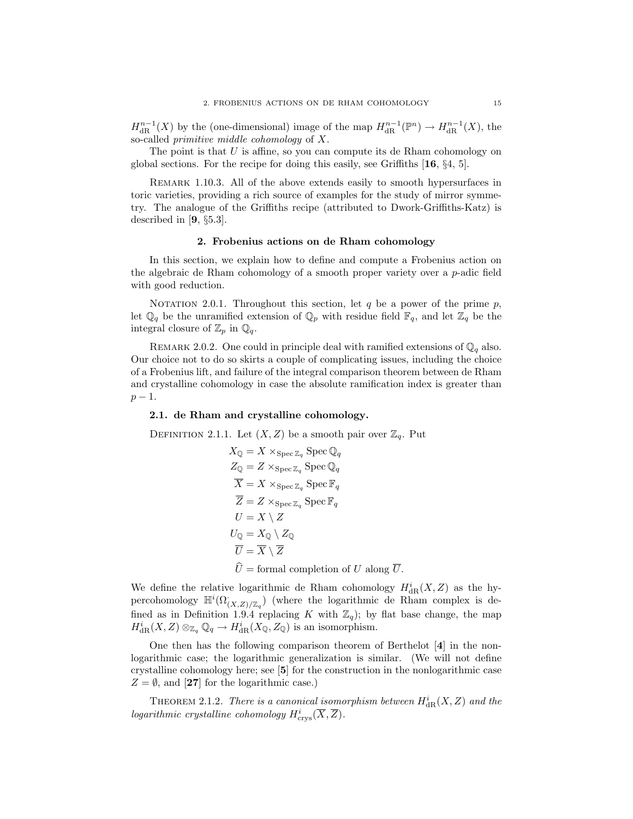$H^{n-1}_{\text{dR}}(X)$  by the (one-dimensional) image of the map  $H^{n-1}_{\text{dR}}(\mathbb{P}^n) \to H^{n-1}_{\text{dR}}(X)$ , the so-called primitive middle cohomology of X.

The point is that  $U$  is affine, so you can compute its de Rham cohomology on global sections. For the recipe for doing this easily, see Griffiths [16, §4, 5].

REMARK 1.10.3. All of the above extends easily to smooth hypersurfaces in toric varieties, providing a rich source of examples for the study of mirror symmetry. The analogue of the Griffiths recipe (attributed to Dwork-Griffiths-Katz) is described in [9, §5.3].

#### 2. Frobenius actions on de Rham cohomology

In this section, we explain how to define and compute a Frobenius action on the algebraic de Rham cohomology of a smooth proper variety over a  $p$ -adic field with good reduction.

NOTATION 2.0.1. Throughout this section, let  $q$  be a power of the prime  $p$ , let  $\mathbb{Q}_q$  be the unramified extension of  $\mathbb{Q}_p$  with residue field  $\mathbb{F}_q$ , and let  $\mathbb{Z}_q$  be the integral closure of  $\mathbb{Z}_p$  in  $\mathbb{Q}_q$ .

REMARK 2.0.2. One could in principle deal with ramified extensions of  $\mathbb{Q}_q$  also. Our choice not to do so skirts a couple of complicating issues, including the choice of a Frobenius lift, and failure of the integral comparison theorem between de Rham and crystalline cohomology in case the absolute ramification index is greater than  $p-1$ .

## 2.1. de Rham and crystalline cohomology.

DEFINITION 2.1.1. Let  $(X, Z)$  be a smooth pair over  $\mathbb{Z}_q$ . Put

$$
X_{\mathbb{Q}} = X \times_{\text{Spec } \mathbb{Z}_q} \text{Spec } \mathbb{Q}_q
$$
  
\n
$$
Z_{\mathbb{Q}} = Z \times_{\text{Spec } \mathbb{Z}_q} \text{Spec } \mathbb{Q}_q
$$
  
\n
$$
\overline{X} = X \times_{\text{Spec } \mathbb{Z}_q} \text{Spec } \mathbb{F}_q
$$
  
\n
$$
\overline{Z} = Z \times_{\text{Spec } \mathbb{Z}_q} \text{Spec } \mathbb{F}_q
$$
  
\n
$$
U = X \setminus Z
$$
  
\n
$$
U_{\mathbb{Q}} = X_{\mathbb{Q}} \setminus Z_{\mathbb{Q}}
$$
  
\n
$$
\overline{U} = \overline{X} \setminus \overline{Z}
$$
  
\n
$$
\widehat{U} = \text{formal completion of } U \text{ along } \overline{U}.
$$

We define the relative logarithmic de Rham cohomology  $H^i_{\mathrm{dR}}(X,Z)$  as the hypercohomology  $\mathbb{H}^i(\Omega_{(X,Z)/\mathbb{Z}_q})$  (where the logarithmic de Rham complex is defined as in Definition 1.9.4 replacing K with  $\mathbb{Z}_q$ ); by flat base change, the map  $H^i_{\text{dR}}(X, Z) \otimes_{\mathbb{Z}_q} \mathbb{Q}_q \to H^i_{\text{dR}}(X_{\mathbb{Q}}, Z_{\mathbb{Q}})$  is an isomorphism.

One then has the following comparison theorem of Berthelot [4] in the nonlogarithmic case; the logarithmic generalization is similar. (We will not define crystalline cohomology here; see [5] for the construction in the nonlogarithmic case  $Z = \emptyset$ , and [27] for the logarithmic case.)

THEOREM 2.1.2. There is a canonical isomorphism between  $H^i_{\text{dR}}(X, Z)$  and the logarithmic crystalline cohomology  $H^i_{\text{crys}}(\overline{X}, \overline{Z})$ .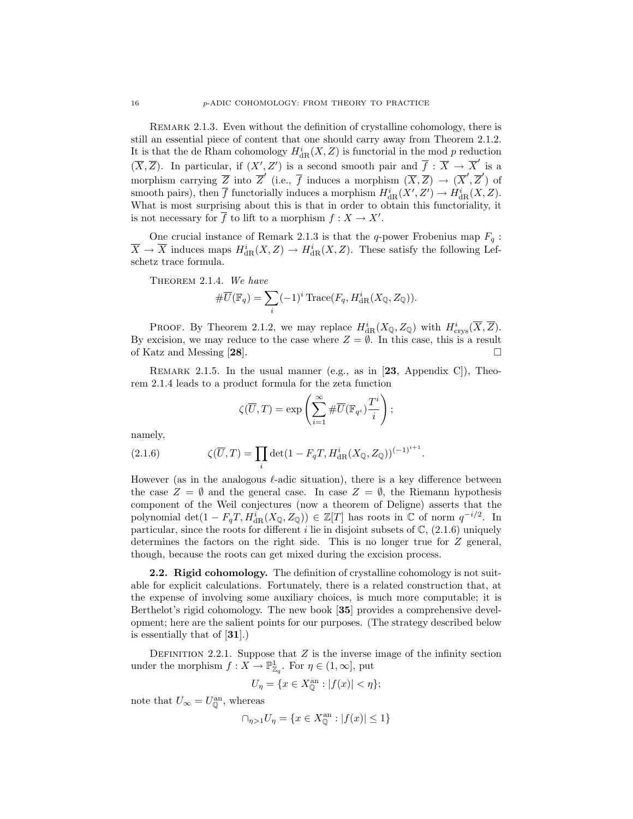REMARK 2.1.3. Even without the definition of crystalline cohomology, there is still an essential piece of content that one should carry away from Theorem 2.1.2. It is that the de Rham cohomology  $H^i_{\text{dR}}(X, Z)$  is functorial in the mod p reduction  $(\overline{X}, \overline{Z})$ . In particular, if  $(X', Z')$  is a second smooth pair and  $\overline{f} : \overline{X} \to \overline{X}'$  is a morphism carrying  $\overline{Z}$  into  $\overline{Z}'$  (i.e.,  $\overline{f}$  induces a morphism  $(\overline{X}, \overline{Z}) \to (\overline{X}', \overline{Z}')$  of smooth pairs), then  $\overline{f}$  functorially induces a morphism  $H^i_{\text{dR}}(X', Z') \to H^i_{\text{dR}}(X, Z)$ . What is most surprising about this is that in order to obtain this functoriality, it is not necessary for  $\overline{f}$  to lift to a morphism  $f: X \to X'$ .

One crucial instance of Remark 2.1.3 is that the q-power Frobenius map  $F_q$ :  $\overline{X} \to \overline{X}$  induces maps  $H^i_{\text{dR}}(X, Z) \to H^i_{\text{dR}}(X, Z)$ . These satisfy the following Lefschetz trace formula.

THEOREM 2.1.4. We have

$$
\#\overline{U}(\mathbb{F}_q) = \sum_i (-1)^i \text{Trace}(F_q, H^i_{\text{dR}}(X_{\mathbb{Q}}, Z_{\mathbb{Q}})).
$$

PROOF. By Theorem 2.1.2, we may replace  $H^i_{\text{dR}}(X_{\mathbb{Q}}, Z_{\mathbb{Q}})$  with  $H^i_{\text{crys}}(\overline{X}, \overline{Z})$ . By excision, we may reduce to the case where  $Z = \emptyset$ . In this case, this is a result of Katz and Messing [28].

REMARK 2.1.5. In the usual manner (e.g., as in  $[23,$  Appendix C)), Theorem 2.1.4 leads to a product formula for the zeta function

$$
\zeta(\overline{U},T) = \exp\left(\sum_{i=1}^{\infty} \# \overline{U}(\mathbb{F}_{q^i}) \frac{T^i}{i}\right);
$$

namely,

(2.1.6) 
$$
\zeta(\overline{U},T) = \prod_{i} \det(1 - F_q T, H_{\text{dR}}^i(X_{\mathbb{Q}}, Z_{\mathbb{Q}}))^{(-1)^{i+1}}.
$$

However (as in the analogous  $\ell$ -adic situation), there is a key difference between the case  $Z = \emptyset$  and the general case. In case  $Z = \emptyset$ , the Riemann hypothesis component of the Weil conjectures (now a theorem of Deligne) asserts that the polynomial  $\det(1 - F_qT, H_{\text{dR}}^i(X_{\mathbb{Q}}, Z_{\mathbb{Q}})) \in \mathbb{Z}[T]$  has roots in  $\mathbb{C}$  of norm  $q^{-i/2}$ . In particular, since the roots for different i lie in disjoint subsets of  $\mathbb{C}$ ,  $(2.1.6)$  uniquely determines the factors on the right side. This is no longer true for Z general, though, because the roots can get mixed during the excision process.

2.2. Rigid cohomology. The definition of crystalline cohomology is not suitable for explicit calculations. Fortunately, there is a related construction that, at the expense of involving some auxiliary choices, is much more computable; it is Berthelot's rigid cohomology. The new book [35] provides a comprehensive development; here are the salient points for our purposes. (The strategy described below is essentially that of [31].)

DEFINITION 2.2.1. Suppose that  $Z$  is the inverse image of the infinity section under the morphism  $f: X \to \mathbb{P}^1_{\mathbb{Z}_q}$ . For  $\eta \in (1,\infty]$ , put

$$
U_{\eta} = \{ x \in X_0^{\text{an}} : |f(x)| < \eta \};
$$

note that  $U_{\infty} = U_{\mathbb{Q}}^{\text{an}},$  whereas

$$
\cap_{\eta > 1} U_{\eta} = \{ x \in X_0^{\text{an}} : |f(x)| \le 1 \}
$$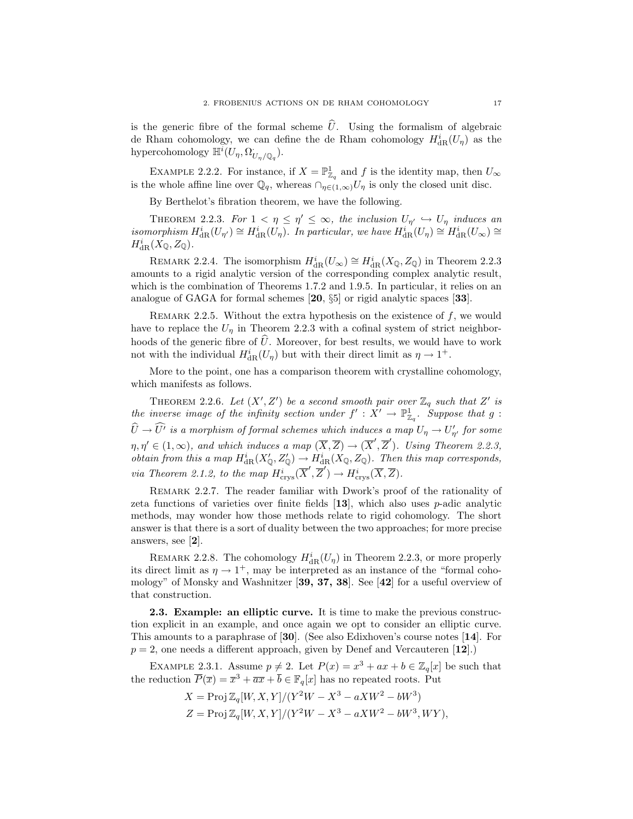is the generic fibre of the formal scheme  $\hat{U}$ . Using the formalism of algebraic de Rham cohomology, we can define the de Rham cohomology  $H^i_{\text{dR}}(U_\eta)$  as the hypercohomology  $\mathbb{H}^i(U_\eta,\Omega^{\cdot}_{U_\eta/{\mathbb{Q}}_q}).$ 

EXAMPLE 2.2.2. For instance, if  $X = \mathbb{P}^1_{\mathbb{Z}_q}$  and f is the identity map, then  $U_{\infty}$ is the whole affine line over  $\mathbb{Q}_q$ , whereas  $\cap_{\eta \in (1,\infty)} U_\eta$  is only the closed unit disc.

By Berthelot's fibration theorem, we have the following.

THEOREM 2.2.3. For  $1 < \eta \leq \eta' \leq \infty$ , the inclusion  $U_{\eta'} \hookrightarrow U_{\eta}$  induces an isomorphism  $H^i_{\text{dR}}(U_{\eta'}) \cong H^i_{\text{dR}}(U_{\eta})$ . In particular, we have  $H^i_{\text{dR}}(U_{\eta}) \cong H^i_{\text{dR}}(U_{\infty}) \cong$  $H^i_{\mathrm{dR}}(X_\mathbb{Q}, Z_\mathbb{Q}).$ 

REMARK 2.2.4. The isomorphism  $H_{\text{dR}}^i(U_\infty) \cong H_{\text{dR}}^i(X_{\mathbb{Q}}, Z_{\mathbb{Q}})$  in Theorem 2.2.3 amounts to a rigid analytic version of the corresponding complex analytic result, which is the combination of Theorems 1.7.2 and 1.9.5. In particular, it relies on an analogue of GAGA for formal schemes [20, §5] or rigid analytic spaces [33].

REMARK 2.2.5. Without the extra hypothesis on the existence of  $f$ , we would have to replace the  $U_{\eta}$  in Theorem 2.2.3 with a cofinal system of strict neighborhoods of the generic fibre of  $\hat{U}$ . Moreover, for best results, we would have to work not with the individual  $H_{\text{dR}}^i(U_\eta)$  but with their direct limit as  $\eta \to 1^+$ .

More to the point, one has a comparison theorem with crystalline cohomology, which manifests as follows.

THEOREM 2.2.6. Let  $(X', Z')$  be a second smooth pair over  $\mathbb{Z}_q$  such that Z' is the inverse image of the infinity section under  $f': X' \to \mathbb{P}^1_{\mathbb{Z}_q}$ . Suppose that g:  $\widehat{U}\to \widehat{U'}$  is a morphism of formal schemes which induces a map  $U_\eta\to U'_{\eta'}$  for some  $\eta, \eta' \in (1,\infty)$ , and which induces a map  $(\overline{X},\overline{Z}) \to (\overline{X}',\overline{Z}')$ . Using Theorem 2.2.3, obtain from this a map  $H^i_{dR}(X'_{\mathbb{Q}}, Z'_{\mathbb{Q}}) \to H^i_{dR}(X_{\mathbb{Q}}, Z_{\mathbb{Q}})$ . Then this map corresponds, via Theorem 2.1.2, to the map  $\overline{H}^i_{\text{crys}}(\overline{X}', \overline{Z}') \to \overline{H}^i_{\text{crys}}(\overline{X}, \overline{Z})$ .

REMARK 2.2.7. The reader familiar with Dwork's proof of the rationality of zeta functions of varieties over finite fields  $[13]$ , which also uses p-adic analytic methods, may wonder how those methods relate to rigid cohomology. The short answer is that there is a sort of duality between the two approaches; for more precise answers, see [2].

REMARK 2.2.8. The cohomology  $H_{\text{dR}}^i(U_\eta)$  in Theorem 2.2.3, or more properly its direct limit as  $\eta \to 1^+$ , may be interpreted as an instance of the "formal cohomology" of Monsky and Washnitzer [39, 37, 38]. See [42] for a useful overview of that construction.

2.3. Example: an elliptic curve. It is time to make the previous construction explicit in an example, and once again we opt to consider an elliptic curve. This amounts to a paraphrase of [30]. (See also Edixhoven's course notes [14]. For  $p = 2$ , one needs a different approach, given by Denef and Vercauteren [12].)

EXAMPLE 2.3.1. Assume  $p \neq 2$ . Let  $P(x) = x^3 + ax + b \in \mathbb{Z}_q[x]$  be such that the reduction  $\overline{P}(\overline{x}) = \overline{x}^3 + \overline{a}\overline{x} + \overline{b} \in \mathbb{F}_q[x]$  has no repeated roots. Put

> $X = \text{Proj } \mathbb{Z}_q[W, X, Y]/(Y^2W - X^3 - aXW^2 - bW^3)$  $Z = \text{Proj } \mathbb{Z}_q[W, X, Y]/(Y^2W - X^3 - aXW^2 - bW^3, WY),$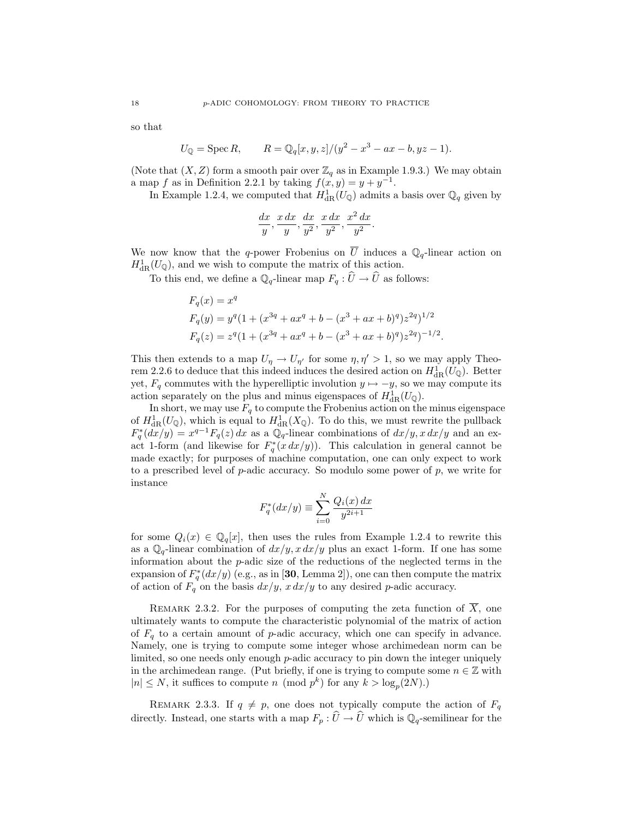so that

$$
U_{\mathbb{Q}} = \text{Spec } R, \qquad R = \mathbb{Q}_q[x, y, z]/(y^2 - x^3 - ax - b, yz - 1).
$$

(Note that  $(X, Z)$  form a smooth pair over  $\mathbb{Z}_q$  as in Example 1.9.3.) We may obtain a map f as in Definition 2.2.1 by taking  $f(x, y) = y + y^{-1}$ .

In Example 1.2.4, we computed that  $H_{\text{dR}}^1(U_{\mathbb{Q}})$  admits a basis over  $\mathbb{Q}_q$  given by

$$
\frac{dx}{y}, \frac{x\,dx}{y}, \frac{dx}{y^2}, \frac{x\,dx}{y^2}, \frac{x^2\,dx}{y^2}.
$$

We now know that the q-power Frobenius on  $\overline{U}$  induces a  $\mathbb{Q}_q$ -linear action on  $H^1_{\text{dR}}(U_{\mathbb{Q}})$ , and we wish to compute the matrix of this action.

To this end, we define a  $\mathbb{Q}_q$ -linear map  $F_q : \widehat{U} \to \widehat{U}$  as follows:

$$
F_q(x) = x^q
$$
  
\n
$$
F_q(y) = y^q (1 + (x^{3q} + ax^q + b - (x^3 + ax + b)^q) z^{2q})^{1/2}
$$
  
\n
$$
F_q(z) = z^q (1 + (x^{3q} + ax^q + b - (x^3 + ax + b)^q) z^{2q})^{-1/2}.
$$

This then extends to a map  $U_{\eta} \to U_{\eta'}$  for some  $\eta, \eta' > 1$ , so we may apply Theorem 2.2.6 to deduce that this indeed induces the desired action on  $H_{\text{dR}}^1(U_{\mathbb{Q}})$ . Better yet,  $F_q$  commutes with the hyperelliptic involution  $y \mapsto -y$ , so we may compute its action separately on the plus and minus eigenspaces of  $H_{\text{dR}}^1(U_{\mathbb{Q}})$ .

In short, we may use  $F_q$  to compute the Frobenius action on the minus eigenspace of  $H^1_{\text{dR}}(U_{\mathbb{Q}})$ , which is equal to  $H^1_{\text{dR}}(X_{\mathbb{Q}})$ . To do this, we must rewrite the pullback  $F_q^*(dx/y) = x^{q-1}F_q(z) dx$  as a  $\mathbb{Q}_q$ -linear combinations of  $dx/y$ ,  $x dx/y$  and an exact 1-form (and likewise for  $F_q^*(x dx/y)$ ). This calculation in general cannot be made exactly; for purposes of machine computation, one can only expect to work to a prescribed level of  $p$ -adic accuracy. So modulo some power of  $p$ , we write for instance

$$
F_q^*(dx/y) \equiv \sum_{i=0}^{N} \frac{Q_i(x) dx}{y^{2i+1}}
$$

for some  $Q_i(x) \in \mathbb{Q}_q[x]$ , then uses the rules from Example 1.2.4 to rewrite this as a  $\mathbb{Q}_q$ -linear combination of  $dx/y$ ,  $x dx/y$  plus an exact 1-form. If one has some information about the p-adic size of the reductions of the neglected terms in the expansion of  $F_q^*(dx/y)$  (e.g., as in [30, Lemma 2]), one can then compute the matrix of action of  $F_q$  on the basis  $dx/y$ ,  $x dx/y$  to any desired p-adic accuracy.

REMARK 2.3.2. For the purposes of computing the zeta function of  $\overline{X}$ , one ultimately wants to compute the characteristic polynomial of the matrix of action of  $F_q$  to a certain amount of p-adic accuracy, which one can specify in advance. Namely, one is trying to compute some integer whose archimedean norm can be limited, so one needs only enough p-adic accuracy to pin down the integer uniquely in the archimedean range. (Put briefly, if one is trying to compute some  $n \in \mathbb{Z}$  with  $|n| \leq N$ , it suffices to compute n (mod  $p^k$ ) for any  $k > \log_p(2N)$ .)

REMARK 2.3.3. If  $q \neq p$ , one does not typically compute the action of  $F_q$ directly. Instead, one starts with a map  $F_p : \widehat{U} \to \widehat{U}$  which is  $\mathbb{Q}_q$ -semilinear for the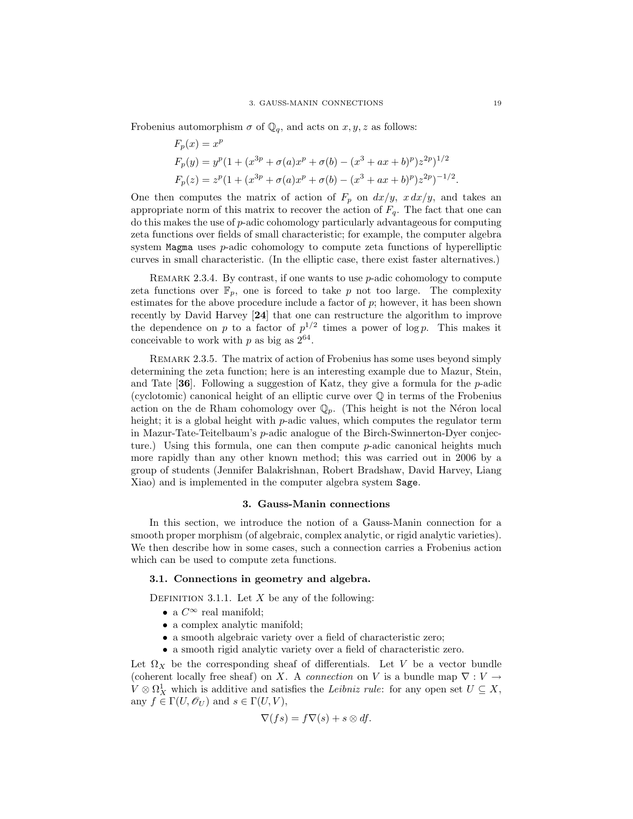Frobenius automorphism  $\sigma$  of  $\mathbb{Q}_q$ , and acts on  $x, y, z$  as follows:

$$
F_p(x) = x^p
$$
  
\n
$$
F_p(y) = y^p (1 + (x^{3p} + \sigma(a)x^p + \sigma(b) - (x^3 + ax + b)^p) z^{2p})^{1/2}
$$
  
\n
$$
F_p(z) = z^p (1 + (x^{3p} + \sigma(a)x^p + \sigma(b) - (x^3 + ax + b)^p) z^{2p})^{-1/2}.
$$

One then computes the matrix of action of  $F_p$  on  $dx/y$ ,  $xdx/y$ , and takes an appropriate norm of this matrix to recover the action of  $F_q$ . The fact that one can  $\alpha$  do this makes the use of p-adic cohomology particularly advantageous for computing zeta functions over fields of small characteristic; for example, the computer algebra system Magma uses p-adic cohomology to compute zeta functions of hyperelliptic curves in small characteristic. (In the elliptic case, there exist faster alternatives.)

REMARK 2.3.4. By contrast, if one wants to use  $p$ -adic cohomology to compute zeta functions over  $\mathbb{F}_p$ , one is forced to take p not too large. The complexity estimates for the above procedure include a factor of  $p$ ; however, it has been shown recently by David Harvey [24] that one can restructure the algorithm to improve the dependence on p to a factor of  $p^{1/2}$  times a power of log p. This makes it conceivable to work with  $p$  as big as  $2^{64}$ .

Remark 2.3.5. The matrix of action of Frobenius has some uses beyond simply determining the zeta function; here is an interesting example due to Mazur, Stein, and Tate  $[36]$ . Following a suggestion of Katz, they give a formula for the p-adic (cyclotomic) canonical height of an elliptic curve over Q in terms of the Frobenius action on the de Rham cohomology over  $\mathbb{Q}_p$ . (This height is not the Néron local height; it is a global height with  $p$ -adic values, which computes the regulator term in Mazur-Tate-Teitelbaum's p-adic analogue of the Birch-Swinnerton-Dyer conjecture.) Using this formula, one can then compute  $p$ -adic canonical heights much more rapidly than any other known method; this was carried out in 2006 by a group of students (Jennifer Balakrishnan, Robert Bradshaw, David Harvey, Liang Xiao) and is implemented in the computer algebra system Sage.

## 3. Gauss-Manin connections

In this section, we introduce the notion of a Gauss-Manin connection for a smooth proper morphism (of algebraic, complex analytic, or rigid analytic varieties). We then describe how in some cases, such a connection carries a Frobenius action which can be used to compute zeta functions.

## 3.1. Connections in geometry and algebra.

DEFINITION 3.1.1. Let  $X$  be any of the following:

- a  $C^{\infty}$  real manifold;
- a complex analytic manifold;
- a smooth algebraic variety over a field of characteristic zero;
- a smooth rigid analytic variety over a field of characteristic zero.

Let  $\Omega_X$  be the corresponding sheaf of differentials. Let V be a vector bundle (coherent locally free sheaf) on X. A *connection* on V is a bundle map  $\nabla : V \to$  $V \otimes \Omega^1_X$  which is additive and satisfies the Leibniz rule: for any open set  $U \subseteq X$ , any  $f \in \Gamma(U, \mathscr{O}_U)$  and  $s \in \Gamma(U, V)$ ,

$$
\nabla(f s) = f \nabla(s) + s \otimes df.
$$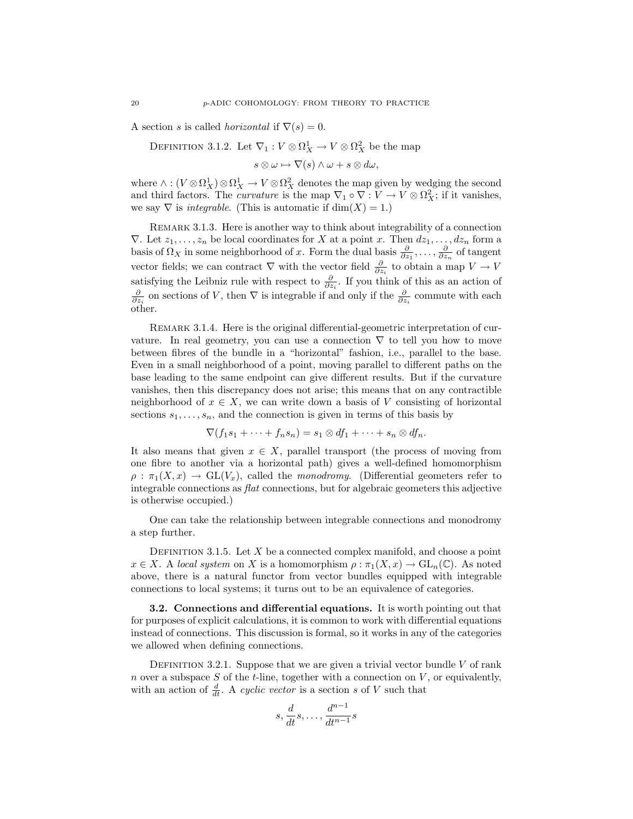A section s is called *horizontal* if  $\nabla(s) = 0$ .

DEFINITION 3.1.2. Let  $\nabla_1: V \otimes \Omega_X^1 \to V \otimes \Omega_X^2$  be the map

 $s \otimes \omega \mapsto \nabla(s) \wedge \omega + s \otimes d\omega,$ 

where  $\wedge : (V \otimes \Omega_X^1) \otimes \Omega_X^1 \to V \otimes \Omega_X^2$  denotes the map given by wedging the second and third factors. The *curvature* is the map  $\nabla_1 \circ \nabla : V \to V \otimes \Omega_X^2$ ; if it vanishes, we say  $\nabla$  is *integrable*. (This is automatic if dim $(X) = 1$ .)

REMARK 3.1.3. Here is another way to think about integrability of a connection  $\nabla$ . Let  $z_1, \ldots, z_n$  be local coordinates for X at a point x. Then  $dz_1, \ldots, dz_n$  form a basis of  $\Omega_X$  in some neighborhood of x. Form the dual basis  $\frac{\partial}{\partial z_1}, \ldots, \frac{\partial}{\partial z_n}$  of tangent vector fields; we can contract  $\nabla$  with the vector field  $\frac{\partial}{\partial z_i}$  to obtain a map  $V \to V$ satisfying the Leibniz rule with respect to  $\frac{\partial}{\partial z_i}$ . If you think of this as an action of  $\frac{\partial}{\partial z_i}$  on sections of V, then  $\nabla$  is integrable if and only if the  $\frac{\partial}{\partial z_i}$  commute with each other.

REMARK 3.1.4. Here is the original differential-geometric interpretation of curvature. In real geometry, you can use a connection  $\nabla$  to tell you how to move between fibres of the bundle in a "horizontal" fashion, i.e., parallel to the base. Even in a small neighborhood of a point, moving parallel to different paths on the base leading to the same endpoint can give different results. But if the curvature vanishes, then this discrepancy does not arise; this means that on any contractible neighborhood of  $x \in X$ , we can write down a basis of V consisting of horizontal sections  $s_1, \ldots, s_n$ , and the connection is given in terms of this basis by

$$
\nabla(f_1s_1+\cdots+f_ns_n)=s_1\otimes df_1+\cdots+s_n\otimes df_n.
$$

It also means that given  $x \in X$ , parallel transport (the process of moving from one fibre to another via a horizontal path) gives a well-defined homomorphism  $\rho : \pi_1(X, x) \to GL(V_x)$ , called the monodromy. (Differential geometers refer to integrable connections as flat connections, but for algebraic geometers this adjective is otherwise occupied.)

One can take the relationship between integrable connections and monodromy a step further.

DEFINITION 3.1.5. Let  $X$  be a connected complex manifold, and choose a point  $x \in X$ . A local system on X is a homomorphism  $\rho : \pi_1(X, x) \to GL_n(\mathbb{C})$ . As noted above, there is a natural functor from vector bundles equipped with integrable connections to local systems; it turns out to be an equivalence of categories.

3.2. Connections and differential equations. It is worth pointing out that for purposes of explicit calculations, it is common to work with differential equations instead of connections. This discussion is formal, so it works in any of the categories we allowed when defining connections.

DEFINITION 3.2.1. Suppose that we are given a trivial vector bundle  $V$  of rank n over a subspace  $S$  of the t-line, together with a connection on  $V$ , or equivalently, with an action of  $\frac{d}{dt}$ . A cyclic vector is a section s of V such that

$$
s, \frac{d}{dt}s, \dots, \frac{d^{n-1}}{dt^{n-1}}s
$$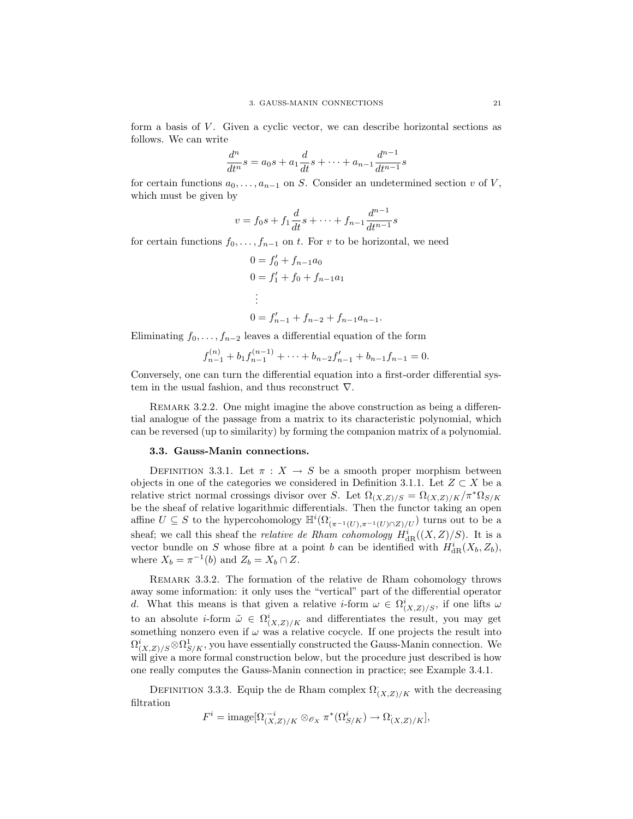form a basis of  $V$ . Given a cyclic vector, we can describe horizontal sections as follows. We can write

$$
\frac{d^n}{dt^n}s = a_0s + a_1\frac{d}{dt}s + \dots + a_{n-1}\frac{d^{n-1}}{dt^{n-1}}s
$$

for certain functions  $a_0, \ldots, a_{n-1}$  on S. Consider an undetermined section v of V, which must be given by

$$
v = f_0 s + f_1 \frac{d}{dt} s + \dots + f_{n-1} \frac{d^{n-1}}{dt^{n-1}} s
$$

for certain functions  $f_0, \ldots, f_{n-1}$  on t. For v to be horizontal, we need

$$
0 = f'_0 + f_{n-1}a_0
$$
  
\n
$$
0 = f'_1 + f_0 + f_{n-1}a_1
$$
  
\n
$$
\vdots
$$
  
\n
$$
0 = f'_{n-1} + f_{n-2} + f_{n-1}a_{n-1}.
$$

Eliminating  $f_0, \ldots, f_{n-2}$  leaves a differential equation of the form

$$
f_{n-1}^{(n)} + b_1 f_{n-1}^{(n-1)} + \dots + b_{n-2} f_{n-1}' + b_{n-1} f_{n-1} = 0.
$$

Conversely, one can turn the differential equation into a first-order differential system in the usual fashion, and thus reconstruct  $\nabla$ .

REMARK 3.2.2. One might imagine the above construction as being a differential analogue of the passage from a matrix to its characteristic polynomial, which can be reversed (up to similarity) by forming the companion matrix of a polynomial.

#### 3.3. Gauss-Manin connections.

DEFINITION 3.3.1. Let  $\pi : X \to S$  be a smooth proper morphism between objects in one of the categories we considered in Definition 3.1.1. Let  $Z \subset X$  be a relative strict normal crossings divisor over S. Let  $\Omega_{(X,Z)/S} = \Omega_{(X,Z)/K}/\pi^* \Omega_{S/K}$ be the sheaf of relative logarithmic differentials. Then the functor taking an open affine  $U \subseteq S$  to the hypercohomology  $\mathbb{H}^i(\Omega_{(\pi^{-1}(U), \pi^{-1}(U) \cap Z)/U})$  turns out to be a sheaf; we call this sheaf the *relative de Rham cohomology*  $H^i_{dR}((X,Z)/S)$ . It is a vector bundle on S whose fibre at a point b can be identified with  $H^i_{\mathrm{dR}}(X_b, Z_b)$ , where  $X_b = \pi^{-1}(b)$  and  $Z_b = X_b \cap Z$ .

REMARK 3.3.2. The formation of the relative de Rham cohomology throws away some information: it only uses the "vertical" part of the differential operator d. What this means is that given a relative *i*-form  $\omega \in \Omega_{(X,Z)/S}^i$ , if one lifts  $\omega$ to an absolute *i*-form  $\tilde{\omega} \in \Omega_{(X,Z)/K}^i$  and differentiates the result, you may get something nonzero even if  $\omega$  was a relative cocycle. If one projects the result into  $\Omega_{(X,Z)/S}^{i} \otimes \Omega_{S/K}^{1}$ , you have essentially constructed the Gauss-Manin connection. We will give a more formal construction below, but the procedure just described is how one really computes the Gauss-Manin connection in practice; see Example 3.4.1.

DEFINITION 3.3.3. Equip the de Rham complex  $\Omega'_{(X,Z)/K}$  with the decreasing filtration

$$
F^i = \text{image}[\Omega_{(X,Z)/K}^{-i} \otimes_{\mathscr{O}_X} \pi^*(\Omega_{S/K}^i) \to \Omega_{(X,Z)/K}],
$$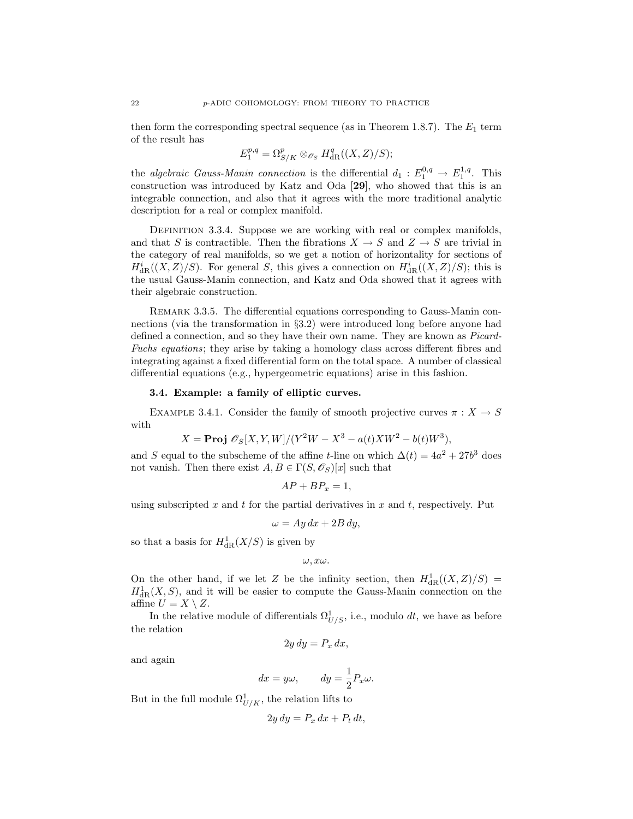then form the corresponding spectral sequence (as in Theorem 1.8.7). The  $E_1$  term of the result has

$$
E_1^{p,q} = \Omega_{S/K}^p \otimes_{\mathscr{O}_S} H_{\text{dR}}^q((X,Z)/S);
$$

the algebraic Gauss-Manin connection is the differential  $d_1 : E_1^{0,q} \to E_1^{1,q}$ . This construction was introduced by Katz and Oda [29], who showed that this is an integrable connection, and also that it agrees with the more traditional analytic description for a real or complex manifold.

DEFINITION 3.3.4. Suppose we are working with real or complex manifolds, and that S is contractible. Then the fibrations  $X \to S$  and  $Z \to S$  are trivial in the category of real manifolds, so we get a notion of horizontality for sections of  $H_{\text{dR}}^{i}((X,Z)/S)$ . For general S, this gives a connection on  $H_{\text{dR}}^{i}((X,Z)/S)$ ; this is the usual Gauss-Manin connection, and Katz and Oda showed that it agrees with their algebraic construction.

REMARK 3.3.5. The differential equations corresponding to Gauss-Manin connections (via the transformation in §3.2) were introduced long before anyone had defined a connection, and so they have their own name. They are known as Picard-Fuchs equations; they arise by taking a homology class across different fibres and integrating against a fixed differential form on the total space. A number of classical differential equations (e.g., hypergeometric equations) arise in this fashion.

## 3.4. Example: a family of elliptic curves.

EXAMPLE 3.4.1. Consider the family of smooth projective curves  $\pi : X \to S$ with

$$
X = \text{Proj } \mathscr{O}_S[X, Y, W]/(Y^2W - X^3 - a(t)XW^2 - b(t)W^3),
$$

and S equal to the subscheme of the affine t-line on which  $\Delta(t) = 4a^2 + 27b^3$  does not vanish. Then there exist  $A, B \in \Gamma(S, \mathscr{O}_S)[x]$  such that

$$
AP + BP_x = 1,
$$

using subscripted x and t for the partial derivatives in x and t, respectively. Put

$$
\omega = Ay\,dx + 2B\,dy,
$$

so that a basis for  $H^1_{\text{dR}}(X/S)$  is given by

 $\omega, x\omega$ .

On the other hand, if we let Z be the infinity section, then  $H^1_{\text{dR}}((X,\mathbb{Z})/S)$  =  $H^1_{\text{dR}}(X, S)$ , and it will be easier to compute the Gauss-Manin connection on the affine  $U = X \setminus Z$ .

In the relative module of differentials  $\Omega_{U/S}^1$ , i.e., modulo dt, we have as before the relation

$$
2y\,dy = P_x\,dx,
$$

and again

$$
dx = y\omega
$$
,  $dy = \frac{1}{2}P_x\omega$ .

But in the full module  $\Omega^1_{U/K}$ , the relation lifts to

$$
2y\,dy = P_x\,dx + P_t\,dt,
$$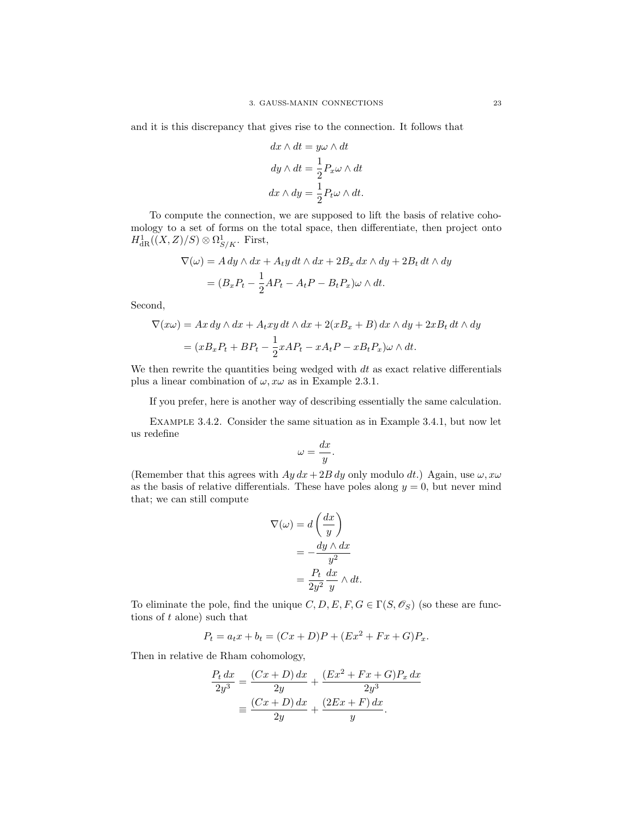and it is this discrepancy that gives rise to the connection. It follows that

$$
dx \wedge dt = y\omega \wedge dt
$$

$$
dy \wedge dt = \frac{1}{2} P_x \omega \wedge dt
$$

$$
dx \wedge dy = \frac{1}{2} P_t \omega \wedge dt.
$$

To compute the connection, we are supposed to lift the basis of relative cohomology to a set of forms on the total space, then differentiate, then project onto  $H^1_{\mathrm{dR}}((X,Z)/S) \otimes \Omega^1_{S/K}$ . First,

$$
\nabla(\omega) = A dy \wedge dx + A_t y dt \wedge dx + 2B_x dx \wedge dy + 2B_t dt \wedge dy
$$

$$
= (B_x P_t - \frac{1}{2} A P_t - A_t P - B_t P_x) \omega \wedge dt.
$$

Second,

$$
\nabla(x\omega) = Ax\,dy \wedge dx + A_t xy\,dt \wedge dx + 2(xB_x + B)\,dx \wedge dy + 2xB_t\,dt \wedge dy
$$

$$
= (xB_xP_t + BP_t - \frac{1}{2}xAP_t - xA_tP - xB_tP_x)\omega \wedge dt.
$$

We then rewrite the quantities being wedged with  $dt$  as exact relative differentials plus a linear combination of  $\omega$ ,  $x\omega$  as in Example 2.3.1.

If you prefer, here is another way of describing essentially the same calculation.

Example 3.4.2. Consider the same situation as in Example 3.4.1, but now let us redefine

$$
\omega=\frac{dx}{y}.
$$

(Remember that this agrees with  $Ay dx + 2B dy$  only modulo dt.) Again, use  $\omega, x\omega$ as the basis of relative differentials. These have poles along  $y = 0$ , but never mind that; we can still compute

$$
\nabla(\omega) = d\left(\frac{dx}{y}\right)
$$

$$
= -\frac{dy \wedge dx}{y^2}
$$

$$
= \frac{P_t}{2y^2} \frac{dx}{y} \wedge dt.
$$

To eliminate the pole, find the unique  $C, D, E, F, G \in \Gamma(S, \mathscr{O}_S)$  (so these are functions of  $t$  alone) such that

$$
P_t = a_t x + b_t = (Cx + D)P + (Ex^2 + Fx + G)P_x.
$$

Then in relative de Rham cohomology,

$$
\frac{P_t dx}{2y^3} = \frac{(Cx+D) dx}{2y} + \frac{(Ex^2 + Fx + G)P_x dx}{2y^3}
$$

$$
\equiv \frac{(Cx+D) dx}{2y} + \frac{(2Ex+F) dx}{y}.
$$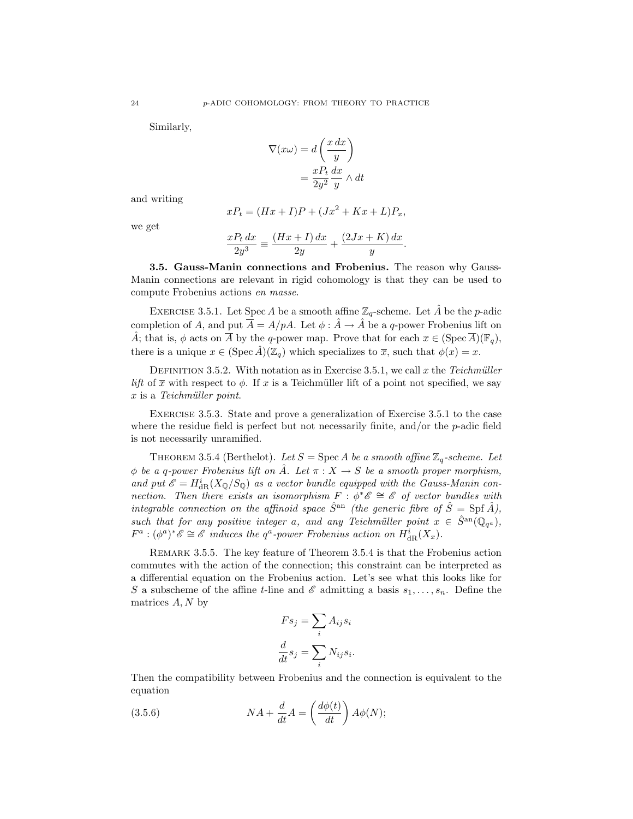Similarly,

$$
\nabla(x\omega) = d\left(\frac{x\,dx}{y}\right)
$$

$$
= \frac{xP_t}{2y^2}\frac{dx}{y} \wedge dt
$$

and writing

$$
xP_t = (Hx + I)P + (Jx^2 + Kx + L)P_x,
$$

we get

$$
\frac{xP_t dx}{2y^3} \equiv \frac{(Hx+I) dx}{2y} + \frac{(2Jx+K) dx}{y}
$$

.

3.5. Gauss-Manin connections and Frobenius. The reason why Gauss-Manin connections are relevant in rigid cohomology is that they can be used to compute Frobenius actions en masse.

EXERCISE 3.5.1. Let Spec A be a smooth affine  $\mathbb{Z}_q$ -scheme. Let A be the p-adic completion of A, and put  $\overline{A} = A/pA$ . Let  $\phi : \hat{A} \to \hat{A}$  be a q-power Frobenius lift on  $\hat{A}$ ; that is,  $\phi$  acts on  $\overline{A}$  by the q-power map. Prove that for each  $\overline{x} \in (\text{Spec } \overline{A})(\mathbb{F}_q)$ , there is a unique  $x \in (\text{Spec } A)(\mathbb{Z}_q)$  which specializes to  $\overline{x}$ , such that  $\phi(x) = x$ .

DEFINITION 3.5.2. With notation as in Exercise 3.5.1, we call x the Teichmüller lift of  $\bar{x}$  with respect to  $\phi$ . If x is a Teichmüller lift of a point not specified, we say  $x$  is a Teichmüller point.

Exercise 3.5.3. State and prove a generalization of Exercise 3.5.1 to the case where the residue field is perfect but not necessarily finite, and/or the  $p$ -adic field is not necessarily unramified.

THEOREM 3.5.4 (Berthelot). Let  $S = \text{Spec } A$  be a smooth affine  $\mathbb{Z}_q$ -scheme. Let  $\phi$  be a q-power Frobenius lift on  $\hat{A}$ . Let  $\pi : X \to S$  be a smooth proper morphism, and put  $\mathscr{E} = H^i_{\text{dR}}(X_{\mathbb{Q}}/S_{\mathbb{Q}})$  as a vector bundle equipped with the Gauss-Manin connection. Then there exists an isomorphism  $F: \phi^* \mathscr{E} \cong \mathscr{E}$  of vector bundles with integrable connection on the affinoid space  $\hat{S}^{\text{an}}$  (the generic fibre of  $\hat{S} = \text{Spf } \hat{A}$ ), such that for any positive integer a, and any Teichmüller point  $x \in \hat{S}^{\text{an}}(\mathbb{Q}_{q^a})$ ,  $F^a: (\phi^a)^*\mathscr{E} \cong \mathscr{E}$  induces the  $q^a$ -power Frobenius action on  $H^i_{\mathrm{dR}}(X_x)$ .

Remark 3.5.5. The key feature of Theorem 3.5.4 is that the Frobenius action commutes with the action of the connection; this constraint can be interpreted as a differential equation on the Frobenius action. Let's see what this looks like for S a subscheme of the affine t-line and  $\mathscr E$  admitting a basis  $s_1, \ldots, s_n$ . Define the matrices  $A, N$  by

$$
F s_j = \sum_i A_{ij} s_i
$$

$$
\frac{d}{dt} s_j = \sum_i N_{ij} s_i.
$$

Then the compatibility between Frobenius and the connection is equivalent to the equation

(3.5.6) 
$$
NA + \frac{d}{dt}A = \left(\frac{d\phi(t)}{dt}\right)A\phi(N);
$$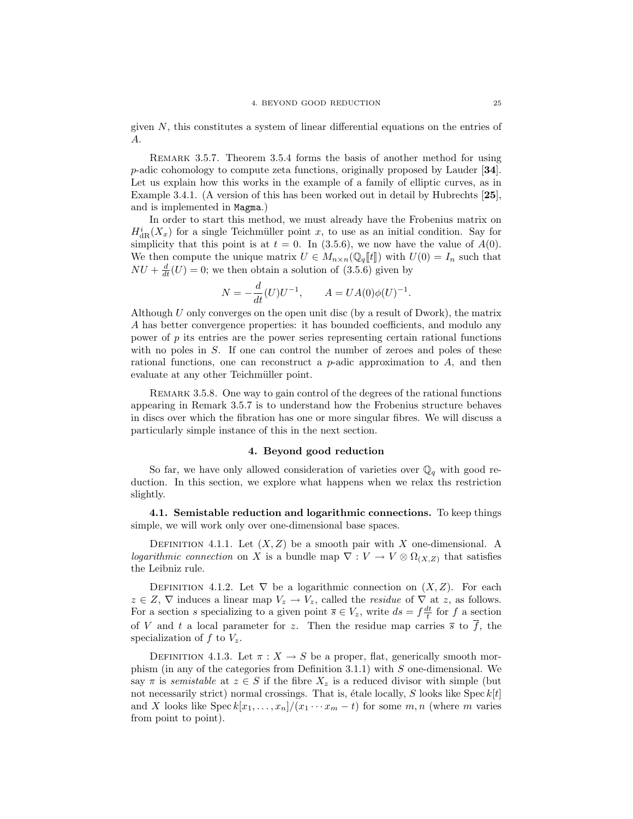given  $N$ , this constitutes a system of linear differential equations on the entries of A.

REMARK 3.5.7. Theorem 3.5.4 forms the basis of another method for using p-adic cohomology to compute zeta functions, originally proposed by Lauder [34]. Let us explain how this works in the example of a family of elliptic curves, as in Example 3.4.1. (A version of this has been worked out in detail by Hubrechts [25], and is implemented in Magma.)

In order to start this method, we must already have the Frobenius matrix on  $H_{\text{dR}}^{i}(X_x)$  for a single Teichmüller point x, to use as an initial condition. Say for simplicity that this point is at  $t = 0$ . In (3.5.6), we now have the value of  $A(0)$ . We then compute the unique matrix  $U \in M_{n \times n}(\mathbb{Q}_q[[t]])$  with  $U(0) = I_n$  such that  $NU + \frac{d}{dt}(U) = 0$ ; we then obtain a solution of (3.5.6) given by

$$
N = -\frac{d}{dt}(U)U^{-1}, \qquad A = UA(0)\phi(U)^{-1}.
$$

Although  $U$  only converges on the open unit disc (by a result of Dwork), the matrix A has better convergence properties: it has bounded coefficients, and modulo any power of  $p$  its entries are the power series representing certain rational functions with no poles in S. If one can control the number of zeroes and poles of these rational functions, one can reconstruct a  $p$ -adic approximation to  $A$ , and then evaluate at any other Teichmüller point.

REMARK 3.5.8. One way to gain control of the degrees of the rational functions appearing in Remark 3.5.7 is to understand how the Frobenius structure behaves in discs over which the fibration has one or more singular fibres. We will discuss a particularly simple instance of this in the next section.

#### 4. Beyond good reduction

So far, we have only allowed consideration of varieties over  $\mathbb{Q}_q$  with good reduction. In this section, we explore what happens when we relax ths restriction slightly.

4.1. Semistable reduction and logarithmic connections. To keep things simple, we will work only over one-dimensional base spaces.

DEFINITION 4.1.1. Let  $(X, Z)$  be a smooth pair with X one-dimensional. A logarithmic connection on X is a bundle map  $\nabla: V \to V \otimes \Omega_{(X,Z)}$  that satisfies the Leibniz rule.

DEFINITION 4.1.2. Let  $\nabla$  be a logarithmic connection on  $(X, Z)$ . For each  $z \in Z$ ,  $\nabla$  induces a linear map  $V_z \to V_z$ , called the *residue* of  $\nabla$  at z, as follows. For a section s specializing to a given point  $\overline{s} \in V_z$ , write  $ds = f \frac{dt}{t}$  for f a section of V and t a local parameter for z. Then the residue map carries  $\bar{s}$  to  $\bar{f}$ , the specialization of f to  $V_z$ .

DEFINITION 4.1.3. Let  $\pi : X \to S$  be a proper, flat, generically smooth morphism (in any of the categories from Definition 3.1.1) with S one-dimensional. We say  $\pi$  is semistable at  $z \in S$  if the fibre  $X_z$  is a reduced divisor with simple (but not necessarily strict) normal crossings. That is, étale locally,  $S$  looks like Spec  $k[t]$ and X looks like Spec  $k[x_1, \ldots, x_n]/(x_1 \cdots x_m - t)$  for some  $m, n$  (where m varies from point to point).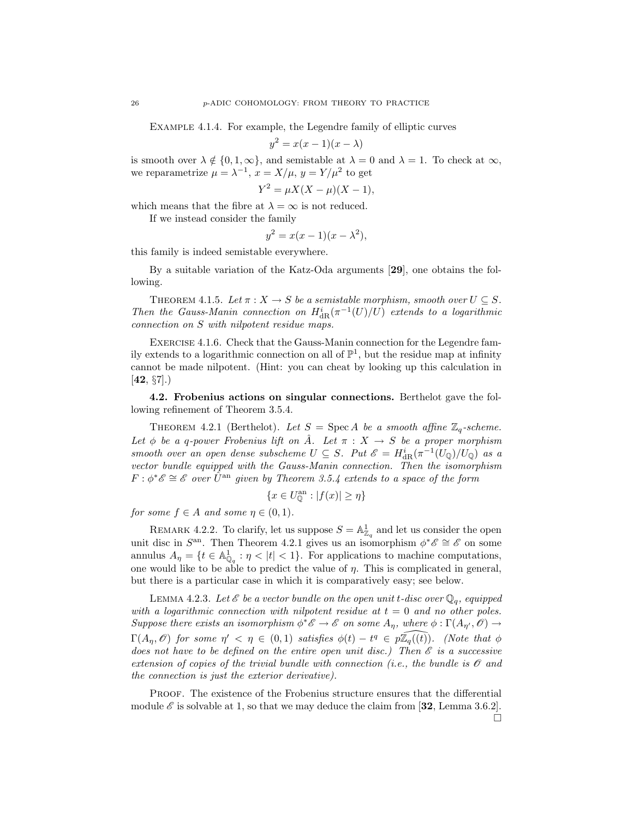Example 4.1.4. For example, the Legendre family of elliptic curves

$$
y^2 = x(x-1)(x-\lambda)
$$

is smooth over  $\lambda \notin \{0, 1, \infty\}$ , and semistable at  $\lambda = 0$  and  $\lambda = 1$ . To check at  $\infty$ , we reparametrize  $\mu = \lambda^{-1}$ ,  $x = X/\mu$ ,  $y = Y/\mu^2$  to get

$$
Y^2 = \mu X(X - \mu)(X - 1),
$$

which means that the fibre at  $\lambda = \infty$  is not reduced.

If we instead consider the family

$$
y^2 = x(x-1)(x - \lambda^2),
$$

this family is indeed semistable everywhere.

By a suitable variation of the Katz-Oda arguments [29], one obtains the following.

THEOREM 4.1.5. Let  $\pi: X \to S$  be a semistable morphism, smooth over  $U \subseteq S$ . Then the Gauss-Manin connection on  $H_{\text{dR}}^{i}(\pi^{-1}(U)/U)$  extends to a logarithmic connection on S with nilpotent residue maps.

Exercise 4.1.6. Check that the Gauss-Manin connection for the Legendre family extends to a logarithmic connection on all of  $\mathbb{P}^1$ , but the residue map at infinity cannot be made nilpotent. (Hint: you can cheat by looking up this calculation in  $[42, \, \S7].$ 

4.2. Frobenius actions on singular connections. Berthelot gave the following refinement of Theorem 3.5.4.

THEOREM 4.2.1 (Berthelot). Let  $S = \text{Spec } A$  be a smooth affine  $\mathbb{Z}_q$ -scheme. Let  $\phi$  be a q-power Frobenius lift on  $\hat{A}$ . Let  $\pi : X \to S$  be a proper morphism smooth over an open dense subscheme  $U \subseteq S$ . Put  $\mathscr{E} = H^i_{dR}(\pi^{-1}(U_{\mathbb{Q}})/U_{\mathbb{Q}})$  as a vector bundle equipped with the Gauss-Manin connection. Then the isomorphism  $F: \phi^* \mathscr{E} \cong \mathscr{E}$  over  $\hat{U}^{\text{an}}$  given by Theorem 3.5.4 extends to a space of the form

$$
\{x \in U^{\mathrm{an}}_{\mathbb{O}} : |f(x)| \ge \eta\}
$$

for some  $f \in A$  and some  $\eta \in (0,1)$ .

REMARK 4.2.2. To clarify, let us suppose  $S = \mathbb{A}^1_{\mathbb{Z}_q}$  and let us consider the open unit disc in  $S^{\text{an}}$ . Then Theorem 4.2.1 gives us an isomorphism  $\phi^* \mathscr{E} \cong \mathscr{E}$  on some annulus  $A_{\eta} = \{t \in \mathbb{A}_{\mathbb{Q}_q}^1 : \eta < |t| < 1\}$ . For applications to machine computations, one would like to be able to predict the value of  $\eta$ . This is complicated in general, but there is a particular case in which it is comparatively easy; see below.

LEMMA 4.2.3. Let  $\mathscr E$  be a vector bundle on the open unit t-disc over  $\mathbb Q_q$ , equipped with a logarithmic connection with nilpotent residue at  $t = 0$  and no other poles. Suppose there exists an isomorphism  $\phi^* \mathscr{E} \to \mathscr{E}$  on some  $A_{\eta}$ , where  $\phi : \Gamma(A_{\eta'}, \mathscr{O}) \to$  $\Gamma(A_n, \mathscr{O})$  for some  $\eta' < \eta \in (0,1)$  satisfies  $\phi(t) - t^q \in \widehat{p\mathbb{Z}_q((t))}$ . (Note that  $\phi$ does not have to be defined on the entire open unit disc.) Then  $\mathscr E$  is a successive extension of copies of the trivial bundle with connection (i.e., the bundle is  $\mathcal O$  and the connection is just the exterior derivative).

PROOF. The existence of the Frobenius structure ensures that the differential module  $\mathscr E$  is solvable at 1, so that we may deduce the claim from [32, Lemma 3.6.2].  $\Box$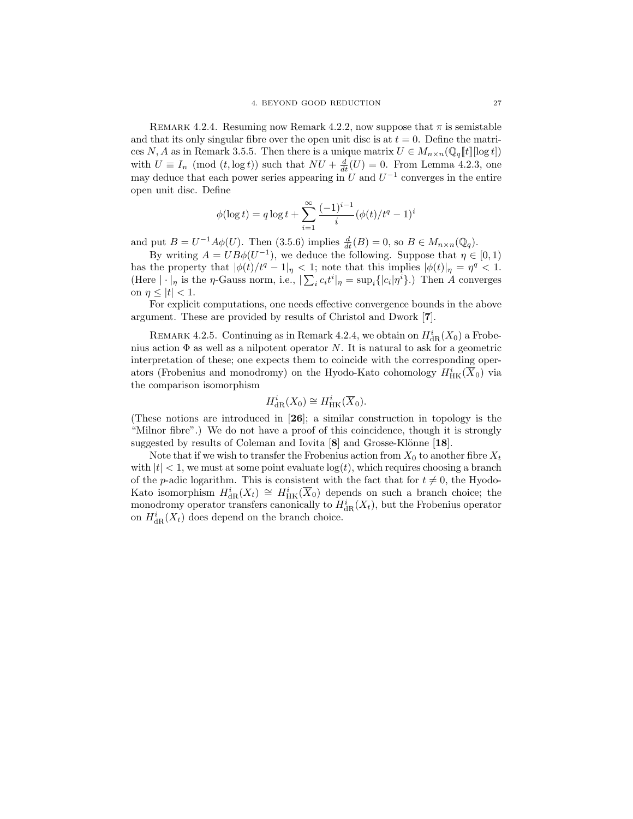REMARK 4.2.4. Resuming now Remark 4.2.2, now suppose that  $\pi$  is semistable and that its only singular fibre over the open unit disc is at  $t = 0$ . Define the matrices N, A as in Remark 3.5.5. Then there is a unique matrix  $U \in M_{n \times n}(\mathbb{Q}_q[[t]] \log t])$ with  $U \equiv I_n \pmod{(t, \log t)}$  such that  $NU + \frac{d}{dt}(U) = 0$ . From Lemma 4.2.3, one may deduce that each power series appearing in U and  $U^{-1}$  converges in the entire open unit disc. Define

$$
\phi(\log t) = q \log t + \sum_{i=1}^{\infty} \frac{(-1)^{i-1}}{i} (\phi(t)/t^q - 1)^i
$$

and put  $B = U^{-1}A\phi(U)$ . Then (3.5.6) implies  $\frac{d}{dt}(B) = 0$ , so  $B \in M_{n \times n}(\mathbb{Q}_q)$ .

By writing  $A = UB\phi(U^{-1})$ , we deduce the following. Suppose that  $\eta \in [0,1)$ has the property that  $|\phi(t)/t^q - 1|_{\eta} < 1$ ; note that this implies  $|\phi(t)|_{\eta} = \eta^q < 1$ . (Here  $|\cdot|_{\eta}$  is the  $\eta$ -Gauss norm, i.e.,  $|\sum_i c_i t^i|_{\eta} = \sup_i \{|c_i| \eta^i\}$ .) Then A converges on  $\eta \leq |t| < 1$ .

For explicit computations, one needs effective convergence bounds in the above argument. These are provided by results of Christol and Dwork [7].

REMARK 4.2.5. Continuing as in Remark 4.2.4, we obtain on  $H^i_{\mathrm{dR}}(X_0)$  a Frobenius action  $\Phi$  as well as a nilpotent operator N. It is natural to ask for a geometric interpretation of these; one expects them to coincide with the corresponding operators (Frobenius and monodromy) on the Hyodo-Kato cohomology  $H^i_{\rm HK}(\overline{X}_0)$  via the comparison isomorphism

$$
H^i_{\rm dR}(X_0)\cong H^i_{\rm HK}(\overline{X}_0).
$$

(These notions are introduced in [26]; a similar construction in topology is the "Milnor fibre".) We do not have a proof of this coincidence, though it is strongly suggested by results of Coleman and Iovita  $[8]$  and Grosse-Klönne  $[18]$ .

Note that if we wish to transfer the Frobenius action from  $X_0$  to another fibre  $X_t$ with  $|t| < 1$ , we must at some point evaluate  $log(t)$ , which requires choosing a branch of the *p*-adic logarithm. This is consistent with the fact that for  $t \neq 0$ , the Hyodo-Kato isomorphism  $H^i_{\text{dR}}(X_t) \cong H^i_{\text{HK}}(\overline{X}_0)$  depends on such a branch choice; the monodromy operator transfers canonically to  $H^i_{\text{dR}}(X_t)$ , but the Frobenius operator on  $H^i_{\text{dR}}(X_t)$  does depend on the branch choice.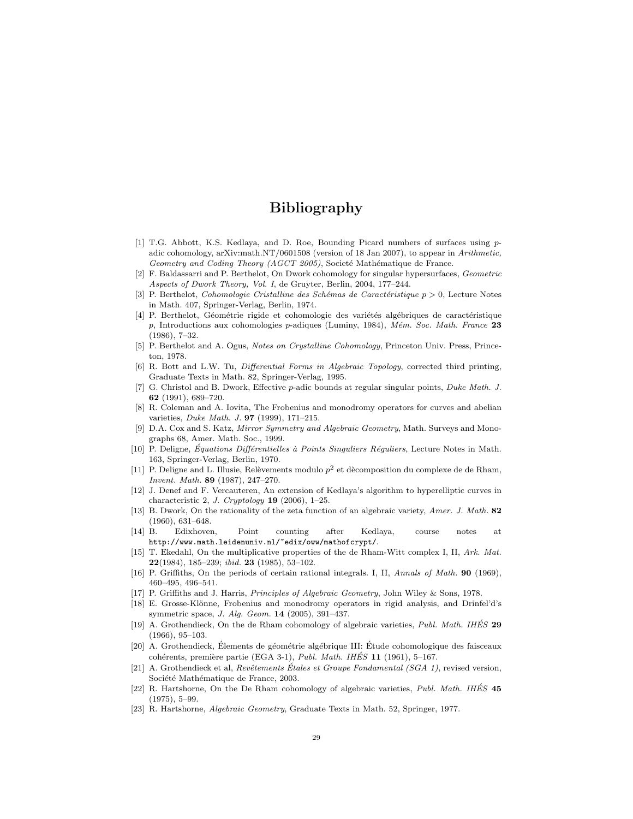# Bibliography

- [1] T.G. Abbott, K.S. Kedlaya, and D. Roe, Bounding Picard numbers of surfaces using padic cohomology, arXiv:math.NT/0601508 (version of 18 Jan 2007), to appear in Arithmetic, Geometry and Coding Theory (AGCT 2005), Societé Mathématique de France.
- [2] F. Baldassarri and P. Berthelot, On Dwork cohomology for singular hypersurfaces, Geometric Aspects of Dwork Theory, Vol. I, de Gruyter, Berlin, 2004, 177–244.
- [3] P. Berthelot, Cohomologie Cristalline des Schémas de Caractéristique  $p > 0$ , Lecture Notes in Math. 407, Springer-Verlag, Berlin, 1974.
- [4] P. Berthelot, Géométrie rigide et cohomologie des variétés algébriques de caractéristique  $p$ , Introductions aux cohomologies  $p$ -adiques (Luminy, 1984), Mém. Soc. Math. France 23 (1986), 7–32.
- [5] P. Berthelot and A. Ogus, Notes on Crystalline Cohomology, Princeton Univ. Press, Princeton, 1978.
- [6] R. Bott and L.W. Tu, Differential Forms in Algebraic Topology, corrected third printing, Graduate Texts in Math. 82, Springer-Verlag, 1995.
- [7] G. Christol and B. Dwork, Effective p-adic bounds at regular singular points, Duke Math. J. 62 (1991), 689–720.
- [8] R. Coleman and A. Iovita, The Frobenius and monodromy operators for curves and abelian varieties, Duke Math. J. 97 (1999), 171–215.
- [9] D.A. Cox and S. Katz, Mirror Symmetry and Algebraic Geometry, Math. Surveys and Monographs 68, Amer. Math. Soc., 1999.
- [10] P. Deligne, *Équations Différentielles à Points Singuliers Réguliers*, Lecture Notes in Math. 163, Springer-Verlag, Berlin, 1970.
- [11] P. Deligne and L. Illusie, Relèvements modulo  $p^2$  et dècomposition du complexe de de Rham, Invent. Math. 89 (1987), 247–270.
- [12] J. Denef and F. Vercauteren, An extension of Kedlaya's algorithm to hyperelliptic curves in characteristic 2, J. Cryptology  $19$  (2006), 1-25.
- [13] B. Dwork, On the rationality of the zeta function of an algebraic variety, Amer. J. Math. 82 (1960), 631–648.
- [14] B. Edixhoven, Point counting after Kedlaya, course notes at http://www.math.leidenuniv.nl/~edix/oww/mathofcrypt/.
- [15] T. Ekedahl, On the multiplicative properties of the de Rham-Witt complex I, II, Ark. Mat.  $22(1984)$ , 185-239; *ibid.* 23 (1985), 53-102.
- [16] P. Griffiths, On the periods of certain rational integrals. I, II, Annals of Math. 90 (1969), 460–495, 496–541.
- [17] P. Griffiths and J. Harris, Principles of Algebraic Geometry, John Wiley & Sons, 1978.
- [18] E. Grosse-Klönne, Frobenius and monodromy operators in rigid analysis, and Drinfel'd's symmetric space, J. Alg. Geom. 14 (2005), 391–437.
- [19] A. Grothendieck, On the de Rham cohomology of algebraic varieties, Publ. Math. IHÉS 29 (1966), 95–103.
- [20] A. Grothendieck, Élements de géométrie algébrique III: Étude cohomologique des faisceaux cohérents, première partie (EGA 3-1), Publ. Math. IHÉS  $11$  (1961), 5–167.
- [21] A. Grothendieck et al, Revêtements Étales et Groupe Fondamental  $(SGA 1)$ , revised version, Société Mathématique de France, 2003.
- [22] R. Hartshorne, On the De Rham cohomology of algebraic varieties, Publ. Math. IHÉS 45 (1975), 5–99.
- [23] R. Hartshorne, Algebraic Geometry, Graduate Texts in Math. 52, Springer, 1977.